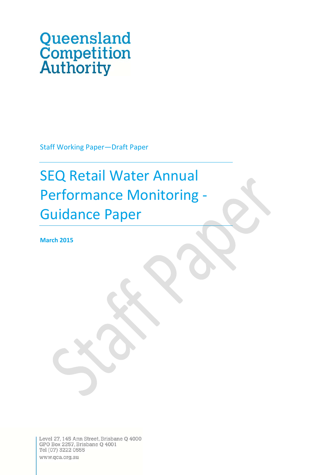# Queensland<br>Competition<br>Authority

Staff Working Paper—Draft Paper

# SEQ Retail Water Annual Performance Monitoring ‐ Guidance Paper

**March 2015**

Level 27, 145 Ann Street, Brisbane Q 4000<br>GPO Box 2257, Brisbane Q 4001 Tel (07) 3222 0555 www.qca.org.au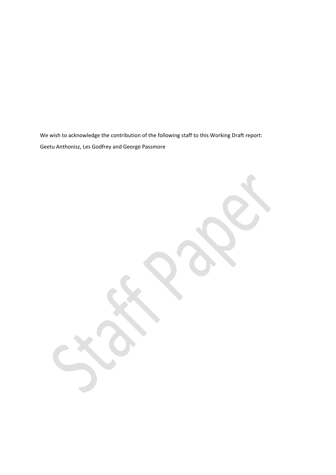We wish to acknowledge the contribution of the following staff to this Working Draft report: Geetu Anthonisz, Les Godfrey and George Passmore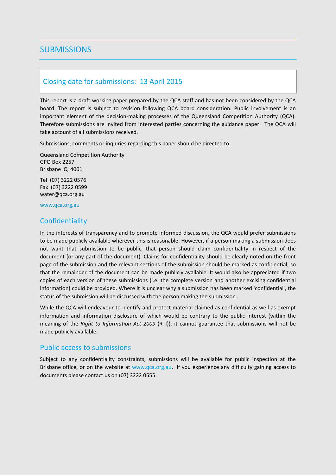# **SUBMISSIONS**

### Closing date for submissions: 13 April 2015

This report is a draft working paper prepared by the QCA staff and has not been considered by the QCA board. The report is subject to revision following QCA board consideration. Public involvement is an important element of the decision-making processes of the Queensland Competition Authority (QCA). Therefore submissions are invited from interested parties concerning the guidance paper. The QCA will take account of all submissions received.

Submissions, comments or inquiries regarding this paper should be directed to:

Queensland Competition Authority GPO Box 2257 Brisbane Q 4001

Tel (07) 3222 0576 Fax (07) 3222 0599 water@qca.org.au

www.qca.org.au

### **Confidentiality**

In the interests of transparency and to promote informed discussion, the QCA would prefer submissions to be made publicly available wherever this is reasonable. However, if a person making a submission does not want that submission to be public, that person should claim confidentiality in respect of the document (or any part of the document). Claims for confidentiality should be clearly noted on the front page of the submission and the relevant sections of the submission should be marked as confidential, so that the remainder of the document can be made publicly available. It would also be appreciated if two copies of each version of these submissions (i.e. the complete version and another excising confidential information) could be provided. Where it is unclear why a submission has been marked 'confidential', the status of the submission will be discussed with the person making the submission.

While the QCA will endeavour to identify and protect material claimed as confidential as well as exempt information and information disclosure of which would be contrary to the public interest (within the meaning of the *Right to Information Act 2009* (RTI)), it cannot guarantee that submissions will not be made publicly available.

### Public access to submissions

Subject to any confidentiality constraints, submissions will be available for public inspection at the Brisbane office, or on the website at www.qca.org.au. If you experience any difficulty gaining access to documents please contact us on (07) 3222 0555.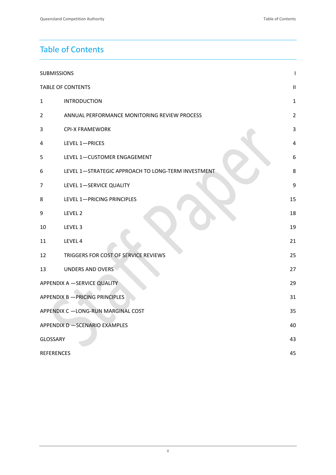# Table of Contents

| <b>SUBMISSIONS</b>                       |                                                    |                |  |  |  |  |  |
|------------------------------------------|----------------------------------------------------|----------------|--|--|--|--|--|
| <b>TABLE OF CONTENTS</b>                 |                                                    |                |  |  |  |  |  |
| 1                                        | <b>INTRODUCTION</b>                                |                |  |  |  |  |  |
| $\overline{2}$                           | ANNUAL PERFORMANCE MONITORING REVIEW PROCESS       | $\overline{2}$ |  |  |  |  |  |
| 3                                        | <b>CPI-X FRAMEWORK</b>                             | $\mathbf{3}$   |  |  |  |  |  |
| 4                                        | LEVEL 1-PRICES                                     | $\overline{4}$ |  |  |  |  |  |
| 5                                        | LEVEL 1-CUSTOMER ENGAGEMENT                        | 6              |  |  |  |  |  |
| 6                                        | LEVEL 1-STRATEGIC APPROACH TO LONG-TERM INVESTMENT | 8              |  |  |  |  |  |
| 7                                        | LEVEL 1-SERVICE QUALITY                            | 9              |  |  |  |  |  |
| 8                                        | LEVEL 1-PRICING PRINCIPLES                         |                |  |  |  |  |  |
| 9                                        | LEVEL 2                                            | 18             |  |  |  |  |  |
| 10                                       | LEVEL <sub>3</sub>                                 | 19             |  |  |  |  |  |
| 11                                       | LEVEL 4                                            | 21             |  |  |  |  |  |
| 12                                       | TRIGGERS FOR COST OF SERVICE REVIEWS               | 25             |  |  |  |  |  |
| 13                                       | <b>UNDERS AND OVERS</b>                            | 27             |  |  |  |  |  |
| <b>APPENDIX A -SERVICE QUALITY</b>       |                                                    |                |  |  |  |  |  |
| APPENDIX B - PRICING PRINCIPLES<br>31    |                                                    |                |  |  |  |  |  |
| APPENDIX C -LONG-RUN MARGINAL COST<br>35 |                                                    |                |  |  |  |  |  |
| APPENDIX D - SCENARIO EXAMPLES<br>40     |                                                    |                |  |  |  |  |  |
| <b>GLOSSARY</b><br>43                    |                                                    |                |  |  |  |  |  |
| <b>REFERENCES</b>                        |                                                    | 45             |  |  |  |  |  |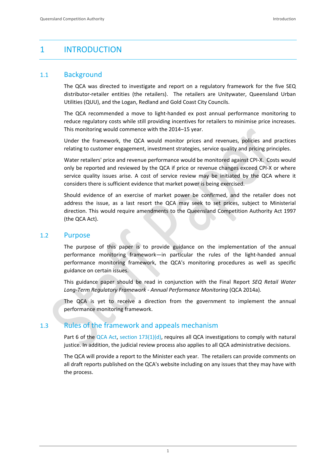# 1 INTRODUCTION

### 1.1 Background

The QCA was directed to investigate and report on a regulatory framework for the five SEQ distributor‐retailer entities (the retailers). The retailers are Unitywater, Queensland Urban Utilities (QUU), and the Logan, Redland and Gold Coast City Councils.

The QCA recommended a move to light‐handed ex post annual performance monitoring to reduce regulatory costs while still providing incentives for retailers to minimise price increases. This monitoring would commence with the 2014–15 year.

Under the framework, the QCA would monitor prices and revenues, policies and practices relating to customer engagement, investment strategies, service quality and pricing principles.

Water retailers' price and revenue performance would be monitored against CPI‐X. Costs would only be reported and reviewed by the QCA if price or revenue changes exceed CPI‐X or where service quality issues arise. A cost of service review may be initiated by the QCA where it considers there is sufficient evidence that market power is being exercised.

Should evidence of an exercise of market power be confirmed, and the retailer does not address the issue, as a last resort the QCA may seek to set prices, subject to Ministerial direction. This would require amendments to the Queensland Competition Authority Act 1997 (the QCA Act).

### 1.2 Purpose

The purpose of this paper is to provide guidance on the implementation of the annual performance monitoring framework—in particular the rules of the light-handed annual performance monitoring framework, the QCA's monitoring procedures as well as specific guidance on certain issues.

This guidance paper should be read in conjunction with the Final Report *SEQ Retail Water Long‐Term Regulatory Framework ‐ Annual Performance Monitoring* (QCA 2014a).

The QCA is yet to receive a direction from the government to implement the annual performance monitoring framework.

### 1.3 Rules of the framework and appeals mechanism

Part 6 of the QCA Act, section 173(1)(d), requires all QCA investigations to comply with natural justice. In addition, the judicial review process also applies to all QCA administrative decisions.

The QCA will provide a report to the Minister each year. The retailers can provide comments on all draft reports published on the QCA's website including on any issues that they may have with the process.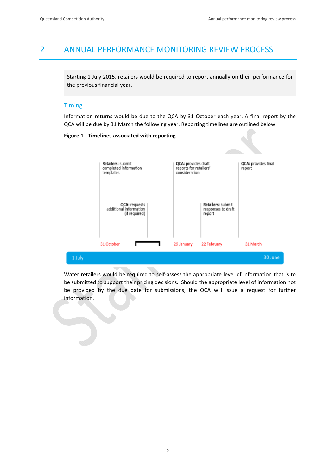# 2 ANNUAL PERFORMANCE MONITORING REVIEW PROCESS

Starting 1 July 2015, retailers would be required to report annually on their performance for the previous financial year.

### **Timing**

Information returns would be due to the QCA by 31 October each year. A final report by the QCA will be due by 31 March the following year. Reporting timelines are outlined below.

### **Figure 1 Timelines associated with reporting**



Water retailers would be required to self‐assess the appropriate level of information that is to be submitted to support their pricing decisions. Should the appropriate level of information not be provided by the due date for submissions, the QCA will issue a request for further information.

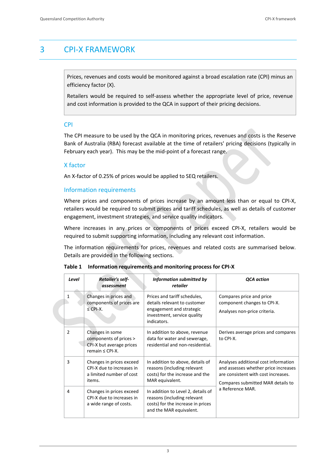# 3 CPI‐X FRAMEWORK

Prices, revenues and costs would be monitored against a broad escalation rate (CPI) minus an efficiency factor (X).

Retailers would be required to self‐assess whether the appropriate level of price, revenue and cost information is provided to the QCA in support of their pricing decisions.

### CPI

The CPI measure to be used by the QCA in monitoring prices, revenues and costs is the Reserve Bank of Australia (RBA) forecast available at the time of retailers' pricing decisions (typically in February each year). This may be the mid-point of a forecast range.

### X factor

An X-factor of 0.25% of prices would be applied to SEQ retailers.

### Information requirements

Where prices and components of prices increase by an amount less than or equal to CPI-X, retailers would be required to submit prices and tariff schedules, as well as details of customer engagement, investment strategies, and service quality indicators.

Where increases in any prices or components of prices exceed CPI‐X, retailers would be required to submit supporting information, including any relevant cost information.

The information requirements for prices, revenues and related costs are summarised below. Details are provided in the following sections.

| Level          | <b>Retailer's self-</b><br>assessment                                                         | Information submitted by<br>retailer                                                                                                   | <b>QCA</b> action                                                                                                                                        |  |
|----------------|-----------------------------------------------------------------------------------------------|----------------------------------------------------------------------------------------------------------------------------------------|----------------------------------------------------------------------------------------------------------------------------------------------------------|--|
| $\mathbf{1}$   | Changes in prices and<br>components of prices are<br>$\leq$ CPI-X.                            | Prices and tariff schedules,<br>details relevant to customer<br>engagement and strategic<br>investment, service quality<br>indicators. | Compares price and price<br>component changes to CPI-X.<br>Analyses non-price criteria.                                                                  |  |
| $\overline{2}$ | Changes in some<br>components of prices ><br>CPI-X but average prices<br>remain $\leq$ CPI-X. | In addition to above, revenue<br>data for water and sewerage,<br>residential and non-residential.                                      | Derives average prices and compares<br>to CPI-X.                                                                                                         |  |
| 3              | Changes in prices exceed<br>CPI-X due to increases in<br>a limited number of cost<br>items.   | In addition to above, details of<br>reasons (including relevant<br>costs) for the increase and the<br>MAR equivalent.                  | Analyses additional cost information<br>and assesses whether price increases<br>are consistent with cost increases.<br>Compares submitted MAR details to |  |
| 4              | Changes in prices exceed<br>CPI-X due to increases in<br>a wide range of costs.               | In addition to Level 2, details of<br>reasons (including relevant<br>costs) for the increase in prices<br>and the MAR equivalent.      | a Reference MAR.                                                                                                                                         |  |

**Table 1 Information requirements and monitoring process for CPI‐X**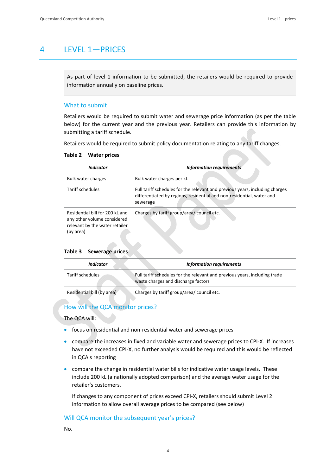# 4 LEVEL 1—PRICES

As part of level 1 information to be submitted, the retailers would be required to provide information annually on baseline prices.

### What to submit

Retailers would be required to submit water and sewerage price information (as per the table below) for the current year and the previous year. Retailers can provide this information by submitting a tariff schedule.

Retailers would be required to submit policy documentation relating to any tariff changes.

### **Table 2 Water prices**

| <i><u><b>Indicator</b></u></i>                                                                                | <b>Information requirements</b>                                                                                                                                   |
|---------------------------------------------------------------------------------------------------------------|-------------------------------------------------------------------------------------------------------------------------------------------------------------------|
| Bulk water charges                                                                                            | Bulk water charges per kL                                                                                                                                         |
| Tariff schedules                                                                                              | Full tariff schedules for the relevant and previous years, including charges<br>differentiated by regions, residential and non-residential, water and<br>sewerage |
| Residential bill for 200 kL and<br>any other volume considered<br>relevant by the water retailer<br>(by area) | Charges by tariff group/area/council etc.                                                                                                                         |

### **Table 3 Sewerage prices**

| Indicator                  | <b>Information requirements</b>                                                                                   |  |  |
|----------------------------|-------------------------------------------------------------------------------------------------------------------|--|--|
| Tariff schedules           | Full tariff schedules for the relevant and previous years, including trade<br>waste charges and discharge factors |  |  |
| Residential bill (by area) | Charges by tariff group/area/ council etc.                                                                        |  |  |

### How will the QCA monitor prices?

The QCA will:

- focus on residential and non-residential water and sewerage prices
- compare the increases in fixed and variable water and sewerage prices to CPI-X. If increases have not exceeded CPI‐X, no further analysis would be required and this would be reflected in QCA's reporting
- compare the change in residential water bills for indicative water usage levels. These include 200 kL (a nationally adopted comparison) and the average water usage for the retailer's customers.

If changes to any component of prices exceed CPI‐X, retailers should submit Level 2 information to allow overall average prices to be compared (see below)

### Will QCA monitor the subsequent year's prices?

No.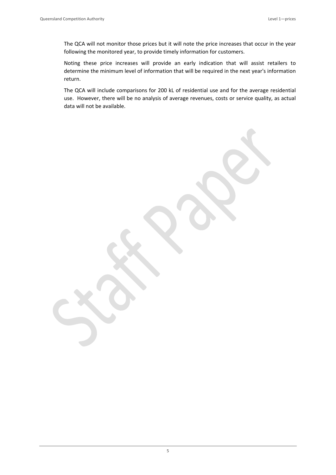The QCA will not monitor those prices but it will note the price increases that occur in the year following the monitored year, to provide timely information for customers.

Noting these price increases will provide an early indication that will assist retailers to determine the minimum level of information that will be required in the next year's information return.

The QCA will include comparisons for 200 kL of residential use and for the average residential use. However, there will be no analysis of average revenues, costs or service quality, as actual data will not be available.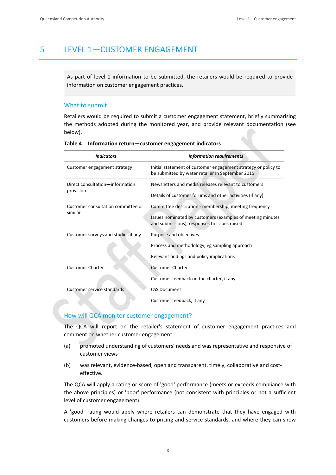# 5 LEVEL 1—CUSTOMER ENGAGEMENT

As part of level 1 information to be submitted, the retailers would be required to provide information on customer engagement practices.

### What to submit

Retailers would be required to submit a customer engagement statement, briefly summarising the methods adopted during the monitored year, and provide relevant documentation (see below).

| <b>Indicators</b>                   | <b>Information requirements</b>                                                                                    |  |
|-------------------------------------|--------------------------------------------------------------------------------------------------------------------|--|
| Customer engagement strategy        | Initial statement of customer engagement strategy or policy to<br>be submitted by water retailer in September 2015 |  |
| Direct consultation-information     | Newsletters and media releases relevant to customers                                                               |  |
| provision                           | Details of customer forums and other activities (if any)                                                           |  |
| Customer consultation committee or  | Committee description - membership, meeting frequency                                                              |  |
| similar                             | Issues nominated by customers (examples of meeting minutes<br>and submissions), responses to issues raised         |  |
| Customer surveys and studies if any | Purpose and objectives                                                                                             |  |
|                                     | Process and methodology, eg sampling approach                                                                      |  |
|                                     | Relevant findings and policy implications                                                                          |  |
| <b>Customer Charter</b>             | <b>Customer Charter</b>                                                                                            |  |
|                                     | Customer feedback on the charter, if any                                                                           |  |
| Customer service standards          | <b>CSS Document</b>                                                                                                |  |
|                                     | Customer feedback, if any                                                                                          |  |

**Table 4 Information return—customer engagement indicators**

### How will QCA monitor customer engagement?

The QCA will report on the retailer's statement of customer engagement practices and comment on whether customer engagement:

- (a) promoted understanding of customers' needs and was representative and responsive of customer views
- (b) was relevant, evidence-based, open and transparent, timely, collaborative and costeffective.

The QCA will apply a rating or score of 'good' performance (meets or exceeds compliance with the above principles) or 'poor' performance (not consistent with principles or not a sufficient level of customer engagement).

A 'good' rating would apply where retailers can demonstrate that they have engaged with customers before making changes to pricing and service standards, and where they can show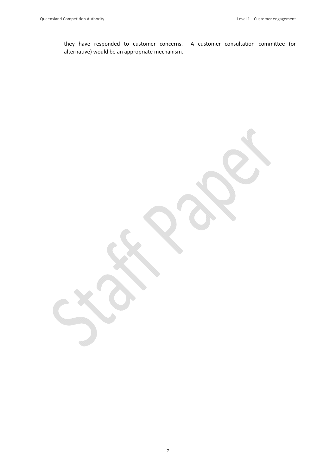they have responded to customer concerns. A customer consultation committee (or alternative) would be an appropriate mechanism.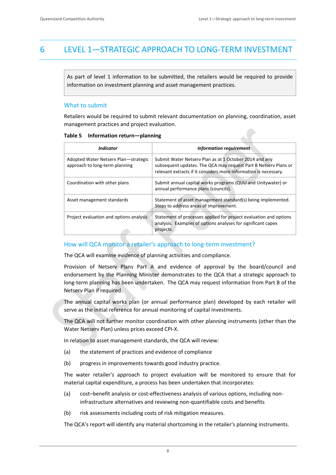# 6 LEVEL 1—STRATEGIC APPROACH TO LONG‐TERM INVESTMENT

As part of level 1 information to be submitted, the retailers would be required to provide information on investment planning and asset management practices.

### What to submit

Retailers would be required to submit relevant documentation on planning, coordination, asset management practices and project evaluation.

|  |  | Table 5 Information return-planning |
|--|--|-------------------------------------|
|--|--|-------------------------------------|

| Indicator                                                              | <b>Information requirement</b>                                                                                                                                                                |
|------------------------------------------------------------------------|-----------------------------------------------------------------------------------------------------------------------------------------------------------------------------------------------|
| Adopted Water Netserv Plan-strategic<br>approach to long-term planning | Submit Water Netserv Plan as at 1 October 2014 and any<br>subsequent updates. The QCA may request Part B Netsery Plans or<br>relevant extracts if it considers more information is necessary. |
| Coordination with other plans                                          | Submit annual capital works programs (QUU and Unitywater) or<br>annual performance plans (councils).                                                                                          |
| Asset management standards                                             | Statement of asset management standard(s) being implemented.<br>Steps to address areas of improvement.                                                                                        |
| Project evaluation and options analysis                                | Statement of processes applied for project evaluation and options<br>analysis. Examples of options analyses for significant capex<br>projects.                                                |

### How will QCA monitor a retailer's approach to long-term investment?

The QCA will examine evidence of planning activities and compliance.

Provision of Netserv Plans Part A and evidence of approval by the board/council and endorsement by the Planning Minister demonstrates to the QCA that a strategic approach to long‐term planning has been undertaken. The QCA may request information from Part B of the Netserv Plan if required.

The annual capital works plan (or annual performance plan) developed by each retailer will serve as the initial reference for annual monitoring of capital investments.

The QCA will not further monitor coordination with other planning instruments (other than the Water Netserv Plan) unless prices exceed CPI‐X.

In relation to asset management standards, the QCA will review:

- (a) the statement of practices and evidence of compliance
- (b) progress in improvements towards good industry practice.

The water retailer's approach to project evaluation will be monitored to ensure that for material capital expenditure, a process has been undertaken that incorporates:

- (a) cost–benefit analysis or cost‐effectiveness analysis of various options, including non‐ infrastructure alternatives and reviewing non‐quantifiable costs and benefits
- (b) risk assessments including costs of risk mitigation measures.

The QCA's report will identify any material shortcoming in the retailer's planning instruments.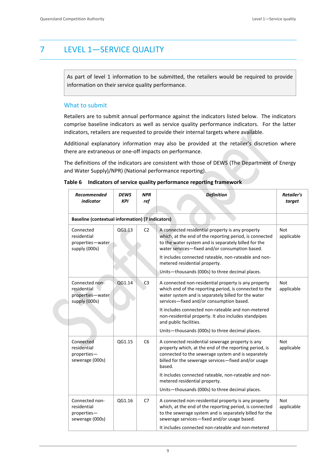# 7 LEVEL 1—SERVICE QUALITY

As part of level 1 information to be submitted, the retailers would be required to provide information on their service quality performance.

### What to submit

Retailers are to submit annual performance against the indicators listed below. The indicators comprise baseline indicators as well as service quality performance indicators. For the latter indicators, retailers are requested to provide their internal targets where available.

Additional explanatory information may also be provided at the retailer's discretion where there are extraneous or one‐off impacts on performance.

The definitions of the indicators are consistent with those of DEWS (The Department of Energy and Water Supply)/NPR) (National performance reporting).

| Recommended<br>indicator                                           | <b>DEWS</b><br><b>KPI</b>                               | <b>NPR</b><br>ref | <b>Definition</b>                                                                                                                                                                                                                                                                                                                                                                                             | <b>Retailer's</b><br>target |  |  |
|--------------------------------------------------------------------|---------------------------------------------------------|-------------------|---------------------------------------------------------------------------------------------------------------------------------------------------------------------------------------------------------------------------------------------------------------------------------------------------------------------------------------------------------------------------------------------------------------|-----------------------------|--|--|
|                                                                    | <b>Baseline (contextual information) (7 indicators)</b> |                   |                                                                                                                                                                                                                                                                                                                                                                                                               |                             |  |  |
| Connected<br>residential<br>properties-water<br>supply (000s)      | QG1.13                                                  | C <sub>2</sub>    | A connected residential property is any property<br>which, at the end of the reporting period, is connected<br>to the water system and is separately billed for the<br>water services-fixed and/or consumption based.<br>It includes connected rateable, non-rateable and non-<br>metered residential property.<br>Units-thousands (000s) to three decimal places.                                            | <b>Not</b><br>applicable    |  |  |
| Connected non-<br>residential<br>properties-water<br>supply (000s) | QG1.14                                                  | C <sub>3</sub>    | A connected non-residential property is any property<br>which end of the reporting period, is connected to the<br>water system and is separately billed for the water<br>services-fixed and/or consumption based.<br>It includes connected non-rateable and non-metered<br>non-residential property. It also includes standpipes<br>and public facilities.<br>Units-thousands (000s) to three decimal places. | <b>Not</b><br>applicable    |  |  |
| Connected<br>residential<br>properties-<br>sewerage (000s)         | QG1.15                                                  | C6                | A connected residential sewerage property is any<br>property which, at the end of the reporting period, is<br>connected to the sewerage system and is separately<br>billed for the sewerage services-fixed and/or usage<br>based.<br>It includes connected rateable, non-rateable and non-<br>metered residential property.<br>Units-thousands (000s) to three decimal places.                                | Not<br>applicable           |  |  |
| Connected non-<br>residential<br>properties-<br>sewerage (000s)    | QG1.16                                                  | C7                | A connected non-residential property is any property<br>which, at the end of the reporting period, is connected<br>to the sewerage system and is separately billed for the<br>sewerage services-fixed and/or usage based.<br>It includes connected non-rateable and non-metered                                                                                                                               | <b>Not</b><br>applicable    |  |  |

### **Table 6 Indicators of service quality performance reporting framework**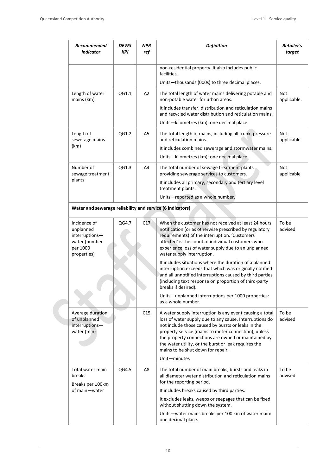| Recommended<br>indicator                                                                | <b>DEWS</b><br><b>NPR</b><br>ref<br>KPI |     | <b>Definition</b>                                                                                                                                                                                                                                                                                                                                                                     | Retailer's<br>target      |
|-----------------------------------------------------------------------------------------|-----------------------------------------|-----|---------------------------------------------------------------------------------------------------------------------------------------------------------------------------------------------------------------------------------------------------------------------------------------------------------------------------------------------------------------------------------------|---------------------------|
|                                                                                         |                                         |     | non-residential property. It also includes public<br>facilities.                                                                                                                                                                                                                                                                                                                      |                           |
|                                                                                         |                                         |     | Units-thousands (000s) to three decimal places.                                                                                                                                                                                                                                                                                                                                       |                           |
| Length of water<br>mains (km)                                                           | QG1.1                                   | A2  | The total length of water mains delivering potable and<br>non-potable water for urban areas.                                                                                                                                                                                                                                                                                          | <b>Not</b><br>applicable. |
|                                                                                         |                                         |     | It includes transfer, distribution and reticulation mains<br>and recycled water distribution and reticulation mains.                                                                                                                                                                                                                                                                  |                           |
|                                                                                         |                                         |     | Units-kilometres (km): one decimal place.                                                                                                                                                                                                                                                                                                                                             |                           |
| Length of<br>sewerage mains                                                             | QG1.2                                   | A5  | The total length of mains, including all trunk, pressure<br>and reticulation mains.                                                                                                                                                                                                                                                                                                   | <b>Not</b><br>applicable  |
| (km)                                                                                    |                                         |     | It includes combined sewerage and stormwater mains.                                                                                                                                                                                                                                                                                                                                   |                           |
|                                                                                         |                                         |     | Units-kilometres (km): one decimal place.                                                                                                                                                                                                                                                                                                                                             |                           |
| Number of<br>sewage treatment                                                           | QG1.3                                   | A4  | The total number of sewage treatment plants<br>providing sewerage services to customers.                                                                                                                                                                                                                                                                                              | Not<br>applicable         |
| plants                                                                                  |                                         |     | It includes all primary, secondary and tertiary level<br>treatment plants.                                                                                                                                                                                                                                                                                                            |                           |
|                                                                                         |                                         |     | Units-reported as a whole number.                                                                                                                                                                                                                                                                                                                                                     |                           |
| Water and sewerage reliability and service (6 indicators)                               |                                         |     |                                                                                                                                                                                                                                                                                                                                                                                       |                           |
| Incidence of<br>unplanned<br>interruptions-<br>water (number<br>per 1000<br>properties) | QG4.7                                   | C17 | When the customer has not received at least 24 hours<br>notification (or as otherwise prescribed by regulatory<br>requirements) of the interruption. 'Customers<br>affected' is the count of individual customers who<br>experience loss of water supply due to an unplanned<br>water supply interruption.                                                                            | To be<br>advised          |
|                                                                                         |                                         |     | It includes situations where the duration of a planned<br>interruption exceeds that which was originally notified<br>and all unnotified interruptions caused by third parties<br>(including text response on proportion of third-party<br>breaks if desired).                                                                                                                         |                           |
|                                                                                         |                                         |     | Units-unplanned interruptions per 1000 properties:<br>as a whole number.                                                                                                                                                                                                                                                                                                              |                           |
| Average duration<br>of unplanned<br>interruptions-<br>water (min)                       |                                         | C15 | A water supply interruption is any event causing a total<br>loss of water supply due to any cause. Interruptions do<br>not include those caused by bursts or leaks in the<br>property service (mains to meter connection), unless<br>the property connections are owned or maintained by<br>the water utility, or the burst or leak requires the<br>mains to be shut down for repair. | To be<br>advised          |
|                                                                                         |                                         |     | Unit-minutes                                                                                                                                                                                                                                                                                                                                                                          |                           |
| Total water main<br>breaks<br>Breaks per 100km                                          | QG4.5                                   | A8  | The total number of main breaks, bursts and leaks in<br>all diameter water distribution and reticulation mains<br>for the reporting period.                                                                                                                                                                                                                                           | To be<br>advised          |
| of main-water                                                                           |                                         |     | It includes breaks caused by third parties.                                                                                                                                                                                                                                                                                                                                           |                           |
|                                                                                         |                                         |     | It excludes leaks, weeps or seepages that can be fixed<br>without shutting down the system.                                                                                                                                                                                                                                                                                           |                           |
|                                                                                         |                                         |     | Units-water mains breaks per 100 km of water main:<br>one decimal place.                                                                                                                                                                                                                                                                                                              |                           |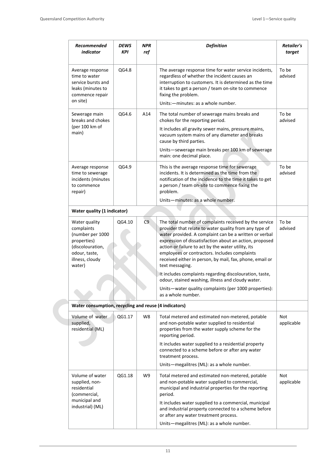| Recommended<br><i>indicator</i>                                                                                                  | <b>DEWS</b><br>KPI | <b>NPR</b><br>ref | <b>Definition</b>                                                                                                                                                                                                                                                                                                                                                                                                           | Retailer's<br>target     |
|----------------------------------------------------------------------------------------------------------------------------------|--------------------|-------------------|-----------------------------------------------------------------------------------------------------------------------------------------------------------------------------------------------------------------------------------------------------------------------------------------------------------------------------------------------------------------------------------------------------------------------------|--------------------------|
| Average response<br>time to water<br>service bursts and<br>leaks (minutes to<br>commence repair<br>on site)                      | QG4.8              |                   | The average response time for water service incidents,<br>regardless of whether the incident causes an<br>interruption to customers. It is determined as the time<br>it takes to get a person / team on-site to commence<br>fixing the problem.                                                                                                                                                                             | To be<br>advised         |
|                                                                                                                                  | QG4.6              | A14               | Units:-minutes: as a whole number.                                                                                                                                                                                                                                                                                                                                                                                          | To be                    |
| Sewerage main<br>breaks and chokes                                                                                               |                    |                   | The total number of sewerage mains breaks and<br>chokes for the reporting period.                                                                                                                                                                                                                                                                                                                                           | advised                  |
| (per 100 km of<br>main)                                                                                                          |                    |                   | It includes all gravity sewer mains, pressure mains,<br>vacuum system mains of any diameter and breaks<br>cause by third parties.                                                                                                                                                                                                                                                                                           |                          |
|                                                                                                                                  |                    |                   | Units-sewerage main breaks per 100 km of sewerage<br>main: one decimal place.                                                                                                                                                                                                                                                                                                                                               |                          |
| Average response<br>time to sewerage<br>incidents (minutes<br>to commence<br>repair)                                             | QG4.9              |                   | This is the average response time for sewerage<br>incidents. It is determined as the time from the<br>notification of the incidence to the time it takes to get<br>a person / team on-site to commence fixing the<br>problem.                                                                                                                                                                                               | To be<br>advised         |
|                                                                                                                                  |                    |                   | Units-minutes: as a whole number.                                                                                                                                                                                                                                                                                                                                                                                           |                          |
| Water quality (1 indicator)                                                                                                      |                    |                   |                                                                                                                                                                                                                                                                                                                                                                                                                             |                          |
| Water quality<br>complaints<br>(number per 1000<br>properties)<br>(discolouration,<br>odour, taste,<br>illness, cloudy<br>water) | QG4.10             | C <sub>9</sub>    | The total number of complaints received by the service<br>provider that relate to water quality from any type of<br>water provided. A complaint can be a written or verbal<br>expression of dissatisfaction about an action, proposed<br>action or failure to act by the water utility, its<br>employees or contractors. Includes complaints<br>received either in person, by mail, fax, phone, email or<br>text messaging. | To be<br>advised         |
|                                                                                                                                  |                    |                   | It includes complaints regarding discolouration, taste,<br>odour, stained washing, illness and cloudy water.                                                                                                                                                                                                                                                                                                                |                          |
|                                                                                                                                  |                    |                   | Units-water quality complaints (per 1000 properties):<br>as a whole number.                                                                                                                                                                                                                                                                                                                                                 |                          |
| Water consumption, recycling and reuse (4 indicators)                                                                            |                    |                   |                                                                                                                                                                                                                                                                                                                                                                                                                             |                          |
| Volume of water<br>supplied,<br>residential (ML)                                                                                 | QG1.17             | W8                | Total metered and estimated non-metered, potable<br>and non-potable water supplied to residential<br>properties from the water supply scheme for the<br>reporting period.                                                                                                                                                                                                                                                   | <b>Not</b><br>applicable |
|                                                                                                                                  |                    |                   | It includes water supplied to a residential property<br>connected to a scheme before or after any water<br>treatment process.                                                                                                                                                                                                                                                                                               |                          |
|                                                                                                                                  |                    |                   | Units-megalitres (ML): as a whole number.                                                                                                                                                                                                                                                                                                                                                                                   |                          |
| Volume of water<br>supplied, non-<br>residential<br>(commercial,                                                                 | QG1.18             | W9                | Total metered and estimated non-metered, potable<br>and non-potable water supplied to commercial,<br>municipal and industrial properties for the reporting<br>period.                                                                                                                                                                                                                                                       | <b>Not</b><br>applicable |
| municipal and<br>industrial) (ML)                                                                                                |                    |                   | It includes water supplied to a commercial, municipal<br>and industrial property connected to a scheme before<br>or after any water treatment process.                                                                                                                                                                                                                                                                      |                          |
|                                                                                                                                  |                    |                   | Units-megalitres (ML): as a whole number.                                                                                                                                                                                                                                                                                                                                                                                   |                          |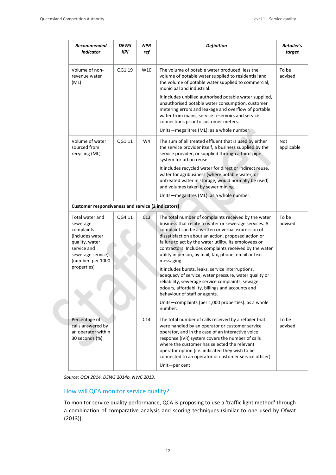| Recommended<br>indicator                                                                                                               | DEWS<br>KPI | <b>NPR</b><br>ref | <b>Definition</b>                                                                                                                                                                                                                                                                                                                                                                                                    | <b>Retailer's</b><br>target |
|----------------------------------------------------------------------------------------------------------------------------------------|-------------|-------------------|----------------------------------------------------------------------------------------------------------------------------------------------------------------------------------------------------------------------------------------------------------------------------------------------------------------------------------------------------------------------------------------------------------------------|-----------------------------|
| Volume of non-<br>revenue water<br>(ML)                                                                                                | QG1.19      | W10               | The volume of potable water produced, less the<br>volume of potable water supplied to residential and<br>the volume of potable water supplied to commercial,<br>municipal and industrial.<br>It includes unbilled authorised potable water supplied,<br>unauthorised potable water consumption, customer<br>metering errors and leakage and overflow of portable                                                     | To be<br>advised            |
|                                                                                                                                        |             |                   | water from mains, service reservoirs and service<br>connections prior to customer meters.                                                                                                                                                                                                                                                                                                                            |                             |
|                                                                                                                                        |             |                   | Units-megalitres (ML): as a whole number.                                                                                                                                                                                                                                                                                                                                                                            |                             |
| Volume of water<br>sourced from<br>recycling (ML)                                                                                      | QG1.11      | W4                | The sum of all treated effluent that is used by either<br>the service provider itself, a business supplied by the<br>service provider, or supplied through a third-pipe<br>system for urban reuse.                                                                                                                                                                                                                   | <b>Not</b><br>applicable    |
|                                                                                                                                        |             |                   | It includes recycled water for direct or indirect reuse,<br>water for agribusiness (where potable water, or<br>untreated water in storage, would normally be used)<br>and volumes taken by sewer mining.                                                                                                                                                                                                             |                             |
|                                                                                                                                        |             |                   | Units-megalitres (ML): as a whole number.                                                                                                                                                                                                                                                                                                                                                                            |                             |
| <b>Customer responsiveness and service (2 indicators)</b>                                                                              |             |                   |                                                                                                                                                                                                                                                                                                                                                                                                                      |                             |
| Total water and<br>sewerage<br>complaints<br>(includes water<br>quality, water<br>service and<br>sewerage service)<br>(number per 1000 | QG4.11      | C13               | The total number of complaints received by the water<br>business that relate to water or sewerage services. A<br>complaint can be a written or verbal expression of<br>dissatisfaction about an action, proposed action or<br>failure to act by the water utility, its employees or<br>contractors. Includes complaints received by the water<br>utility in person, by mail, fax, phone, email or text<br>messaging. | To be<br>advised            |
| properties)                                                                                                                            |             |                   | It includes bursts, leaks, service interruptions,<br>adequacy of service, water pressure, water quality or<br>reliability, sewerage service complaints, sewage<br>odours, affordability, billings and accounts and<br>behaviour of staff or agents.                                                                                                                                                                  |                             |
|                                                                                                                                        |             |                   | Units-complaints (per 1,000 properties): as a whole<br>number.                                                                                                                                                                                                                                                                                                                                                       |                             |
| Percentage of<br>calls answered by<br>an operator within<br>30 seconds (%)                                                             |             | C14               | The total number of calls received by a retailer that<br>were handled by an operator or customer service<br>operator, and in the case of an interactive voice<br>response (IVR) system covers the number of calls<br>where the customer has selected the relevant<br>operator option (i.e. indicated they wish to be<br>connected to an operator or customer service officer).<br>Unit-per cent                      | To be<br>advised            |

*Source: QCA 2014. DEWS 2014b, NWC 2013.*

### How will QCA monitor service quality?

To monitor service quality performance, QCA is proposing to use a 'traffic light method' through a combination of comparative analysis and scoring techniques (similar to one used by Ofwat (2013)).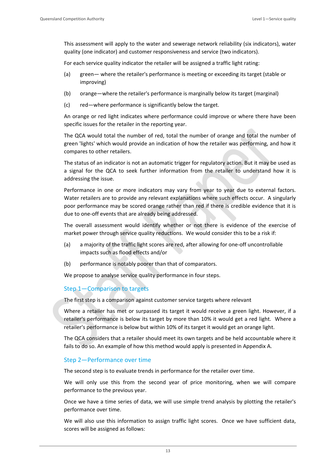This assessment will apply to the water and sewerage network reliability (six indicators), water quality (one indicator) and customer responsiveness and service (two indicators).

For each service quality indicator the retailer will be assigned a traffic light rating:

- (a) green— where the retailer's performance is meeting or exceeding its target (stable or improving)
- (b) orange—where the retailer's performance is marginally below its target (marginal)
- (c) red—where performance is significantly below the target.

An orange or red light indicates where performance could improve or where there have been specific issues for the retailer in the reporting year.

The QCA would total the number of red, total the number of orange and total the number of green 'lights' which would provide an indication of how the retailer was performing, and how it compares to other retailers.

The status of an indicator is not an automatic trigger for regulatory action. But it may be used as a signal for the QCA to seek further information from the retailer to understand how it is addressing the issue.

Performance in one or more indicators may vary from year to year due to external factors. Water retailers are to provide any relevant explanations where such effects occur. A singularly poor performance may be scored orange rather than red if there is credible evidence that it is due to one‐off events that are already being addressed.

The overall assessment would identify whether or not there is evidence of the exercise of market power through service quality reductions. We would consider this to be a risk if:

- (a) a majority of the traffic light scores are red, after allowing for one‐off uncontrollable impacts such as flood effects and/or
- (b) performance is notably poorer than that of comparators.

We propose to analyse service quality performance in four steps.

### Step 1—Comparison to targets

The first step is a comparison against customer service targets where relevant

Where a retailer has met or surpassed its target it would receive a green light. However, if a retailer's performance is below its target by more than 10% it would get a red light. Where a retailer's performance is below but within 10% of its target it would get an orange light.

The QCA considers that a retailer should meet its own targets and be held accountable where it fails to do so. An example of how this method would apply is presented in Appendix A.

### Step 2—Performance over time

The second step is to evaluate trends in performance for the retailer over time.

We will only use this from the second year of price monitoring, when we will compare performance to the previous year.

Once we have a time series of data, we will use simple trend analysis by plotting the retailer's performance over time.

We will also use this information to assign traffic light scores. Once we have sufficient data, scores will be assigned as follows: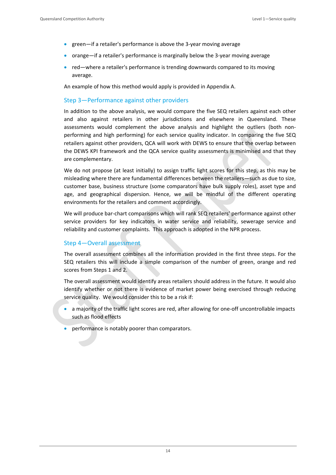- green—if a retailer's performance is above the 3-year moving average
- orange—if a retailer's performance is marginally below the 3-year moving average
- red—where a retailer's performance is trending downwards compared to its moving average.

An example of how this method would apply is provided in Appendix A.

### Step 3—Performance against other providers

In addition to the above analysis, we would compare the five SEQ retailers against each other and also against retailers in other jurisdictions and elsewhere in Queensland. These assessments would complement the above analysis and highlight the outliers (both non‐ performing and high performing) for each service quality indicator. In comparing the five SEQ retailers against other providers, QCA will work with DEWS to ensure that the overlap between the DEWS KPI framework and the QCA service quality assessments is minimised and that they are complementary.

We do not propose (at least initially) to assign traffic light scores for this step, as this may be misleading where there are fundamental differences between the retailers—such as due to size, customer base, business structure (some comparators have bulk supply roles), asset type and age, and geographical dispersion. Hence, we will be mindful of the different operating environments for the retailers and comment accordingly.

We will produce bar-chart comparisons which will rank SEQ retailers' performance against other service providers for key indicators in water service and reliability, sewerage service and reliability and customer complaints. This approach is adopted in the NPR process.

### Step 4—Overall assessment

The overall assessment combines all the information provided in the first three steps. For the SEQ retailers this will include a simple comparison of the number of green, orange and red scores from Steps 1 and 2.

The overall assessment would identify areas retailers should address in the future. It would also identify whether or not there is evidence of market power being exercised through reducing service quality. We would consider this to be a risk if:

- a majority of the traffic light scores are red, after allowing for one-off uncontrollable impacts such as flood effects
- **•** performance is notably poorer than comparators.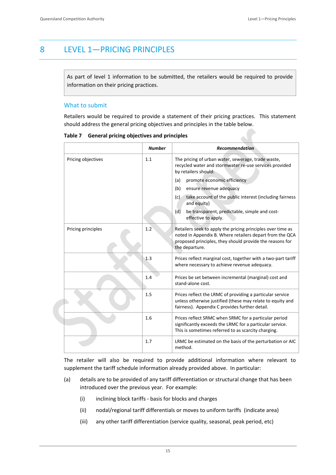# 8 LEVEL 1—PRICING PRINCIPLES

As part of level 1 information to be submitted, the retailers would be required to provide information on their pricing practices.

### What to submit

Retailers would be required to provide a statement of their pricing practices. This statement should address the general pricing objectives and principles in the table below.

|                    | <b>Number</b> | <b>Recommendation</b>                                                                                                                                                                                 |
|--------------------|---------------|-------------------------------------------------------------------------------------------------------------------------------------------------------------------------------------------------------|
| Pricing objectives | 1.1           | The pricing of urban water, sewerage, trade waste,<br>recycled water and stormwater re-use services provided<br>by retailers should:                                                                  |
|                    |               | promote economic efficiency<br>(a)                                                                                                                                                                    |
|                    |               | ensure revenue adequacy<br>(b)                                                                                                                                                                        |
|                    |               | take account of the public interest (including fairness<br>(c)<br>and equity)                                                                                                                         |
|                    |               | be transparent, predictable, simple and cost-<br>(d)<br>effective to apply.                                                                                                                           |
| Pricing principles | 1.2           | Retailers seek to apply the pricing principles over time as<br>noted in Appendix B. Where retailers depart from the QCA<br>proposed principles, they should provide the reasons for<br>the departure. |
|                    | 1.3           | Prices reflect marginal cost, together with a two-part tariff<br>where necessary to achieve revenue adequacy.                                                                                         |
|                    | 1.4           | Prices be set between incremental (marginal) cost and<br>stand-alone cost.                                                                                                                            |
|                    | 1.5           | Prices reflect the LRMC of providing a particular service<br>unless otherwise justified (these may relate to equity and<br>fairness). Appendix C provides further detail.                             |
|                    | 1.6           | Prices reflect SRMC when SRMC for a particular period<br>significantly exceeds the LRMC for a particular service.<br>This is sometimes referred to as scarcity charging.                              |
|                    | 1.7           | LRMC be estimated on the basis of the perturbation or AIC<br>method.                                                                                                                                  |

**Table 7 General pricing objectives and principles**

The retailer will also be required to provide additional information where relevant to supplement the tariff schedule information already provided above. In particular:

- (a) details are to be provided of any tariff differentiation or structural change that has been introduced over the previous year. For example:
	- (i) inclining block tariffs ‐ basis for blocks and charges
	- (ii) nodal/regional tariff differentials or moves to uniform tariffs (indicate area)
	- (iii) any other tariff differentiation (service quality, seasonal, peak period, etc)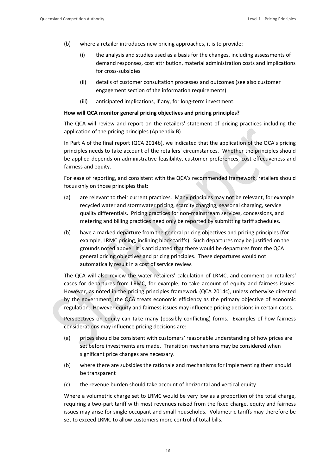- (b) where a retailer introduces new pricing approaches, it is to provide:
	- (i) the analysis and studies used as a basis for the changes, including assessments of demand responses, cost attribution, material administration costs and implications for cross‐subsidies
	- (ii) details of customer consultation processes and outcomes (see also customer engagement section of the information requirements)
	- (iii) anticipated implications, if any, for long‐term investment.

### **How will QCA monitor general pricing objectives and pricing principles?**

The QCA will review and report on the retailers' statement of pricing practices including the application of the pricing principles (Appendix B).

In Part A of the final report (QCA 2014b), we indicated that the application of the QCA's pricing principles needs to take account of the retailers' circumstances. Whether the principles should be applied depends on administrative feasibility, customer preferences, cost effectiveness and fairness and equity.

For ease of reporting, and consistent with the QCA's recommended framework, retailers should focus only on those principles that:

- (a) are relevant to their current practices. Many principles may not be relevant, for example recycled water and stormwater pricing, scarcity charging, seasonal charging, service quality differentials. Pricing practices for non‐mainstream services, concessions, and metering and billing practices need only be reported by submitting tariff schedules.
- (b) have a marked departure from the general pricing objectives and pricing principles (for example, LRMC pricing, inclining block tariffs). Such departures may be justified on the grounds noted above. It is anticipated that there would be departures from the QCA general pricing objectives and pricing principles. These departures would not automatically result in a cost of service review.

The QCA will also review the water retailers' calculation of LRMC, and comment on retailers' cases for departures from LRMC, for example, to take account of equity and fairness issues. However, as noted in the pricing principles framework (QCA 2014c), unless otherwise directed by the government, the QCA treats economic efficiency as the primary objective of economic regulation. However equity and fairness issues may influence pricing decisions in certain cases.

Perspectives on equity can take many (possibly conflicting) forms. Examples of how fairness considerations may influence pricing decisions are:

- (a) prices should be consistent with customers' reasonable understanding of how prices are set before investments are made. Transition mechanisms may be considered when significant price changes are necessary.
- (b) where there are subsidies the rationale and mechanisms for implementing them should be transparent
- (c) the revenue burden should take account of horizontal and vertical equity

Where a volumetric charge set to LRMC would be very low as a proportion of the total charge, requiring a two‐part tariff with most revenues raised from the fixed charge, equity and fairness issues may arise for single occupant and small households. Volumetric tariffs may therefore be set to exceed LRMC to allow customers more control of total bills.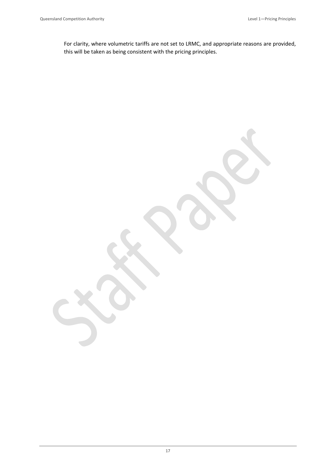For clarity, where volumetric tariffs are not set to LRMC, and appropriate reasons are provided, this will be taken as being consistent with the pricing principles.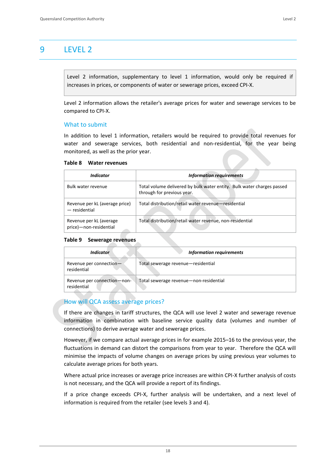# 9 LEVEL 2

Level 2 information, supplementary to level 1 information, would only be required if increases in prices, or components of water or sewerage prices, exceed CPI‐X.

Level 2 information allows the retailer's average prices for water and sewerage services to be compared to CPI‐X.

### What to submit

In addition to level 1 information, retailers would be required to provide total revenues for water and sewerage services, both residential and non-residential, for the year being monitored, as well as the prior year.

### **Table 8 Water revenues**

| Indicator                                         | <b>Information requirements</b>                                                                      |
|---------------------------------------------------|------------------------------------------------------------------------------------------------------|
| Bulk water revenue                                | Total volume delivered by bulk water entity. Bulk water charges passed<br>through for previous year. |
| Revenue per kL (average price)<br>$-$ residential | Total distribution/retail water revenue-residential                                                  |
| Revenue per kL (average<br>price)-non-residential | Total distribution/retail water revenue, non-residential                                             |

### **Table 9 Sewerage revenues**

| <i><u><b>Indicator</b></u></i>             | <b>Information requirements</b>        |
|--------------------------------------------|----------------------------------------|
| Revenue per connection-<br>residential     | Total sewerage revenue-residential     |
| Revenue per connection-non-<br>residential | Total sewerage revenue-non-residential |

### How will QCA assess average prices?

If there are changes in tariff structures, the QCA will use level 2 water and sewerage revenue information in combination with baseline service quality data (volumes and number of connections) to derive average water and sewerage prices.

However, if we compare actual average prices in for example 2015–16 to the previous year, the fluctuations in demand can distort the comparisons from year to year. Therefore the QCA will minimise the impacts of volume changes on average prices by using previous year volumes to calculate average prices for both years.

Where actual price increases or average price increases are within CPI‐X further analysis of costs is not necessary, and the QCA will provide a report of its findings.

If a price change exceeds CPI‐X, further analysis will be undertaken, and a next level of information is required from the retailer (see levels 3 and 4).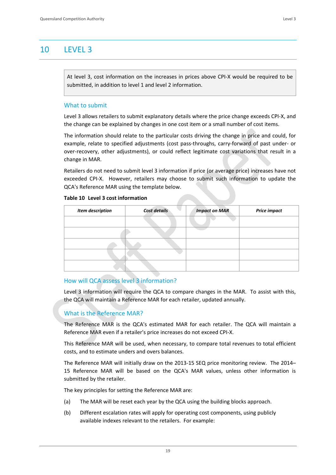# 10 LEVEL 3

At level 3, cost information on the increases in prices above CPI‐X would be required to be submitted, in addition to level 1 and level 2 information.

### What to submit

Level 3 allows retailers to submit explanatory details where the price change exceeds CPI‐X, and the change can be explained by changes in one cost item or a small number of cost items.

The information should relate to the particular costs driving the change in price and could, for example, relate to specified adjustments (cost pass‐throughs, carry‐forward of past under‐ or over‐recovery, other adjustments), or could reflect legitimate cost variations that result in a change in MAR.

Retailers do not need to submit level 3 information if price (or average price) increases have not exceeded CPI-X. However, retailers may choose to submit such information to update the QCA's Reference MAR using the template below.

### **Table 10 Level 3 cost information**

| Item description | <b>Cost details</b> | <b>Impact on MAR</b> | <b>Price impact</b> |
|------------------|---------------------|----------------------|---------------------|
|                  |                     |                      |                     |
|                  |                     |                      |                     |
|                  |                     |                      |                     |
|                  |                     |                      |                     |
|                  |                     |                      |                     |

### How will QCA assess level 3 information?

Level 3 information will require the QCA to compare changes in the MAR. To assist with this, the QCA will maintain a Reference MAR for each retailer, updated annually.

### What is the Reference MAR?

The Reference MAR is the QCA's estimated MAR for each retailer. The QCA will maintain a Reference MAR even if a retailer's price increases do not exceed CPI‐X.

This Reference MAR will be used, when necessary, to compare total revenues to total efficient costs, and to estimate unders and overs balances.

The Reference MAR will initially draw on the 2013‐15 SEQ price monitoring review. The 2014– 15 Reference MAR will be based on the QCA's MAR values, unless other information is submitted by the retailer.

The key principles for setting the Reference MAR are:

- (a) The MAR will be reset each year by the QCA using the building blocks approach.
- (b) Different escalation rates will apply for operating cost components, using publicly available indexes relevant to the retailers. For example: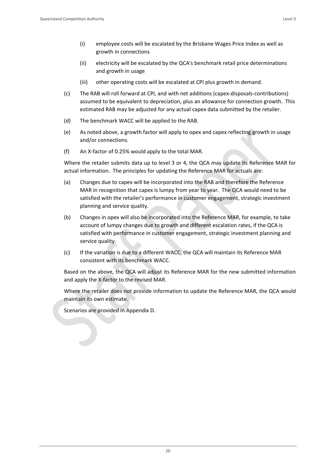- (i) employee costs will be escalated by the Brisbane Wages Price Index as well as growth in connections
- (ii) electricity will be escalated by the QCA's benchmark retail price determinations and growth in usage
- (iii) other operating costs will be escalated at CPI plus growth in demand.
- (c) The RAB will roll forward at CPI, and with net additions (capex‐disposals‐contributions) assumed to be equivalent to depreciation, plus an allowance for connection growth. This estimated RAB may be adjusted for any actual capex data submitted by the retailer.
- (d) The benchmark WACC will be applied to the RAB.
- (e) As noted above, a growth factor will apply to opex and capex reflecting growth in usage and/or connections.
- (f) An X‐factor of 0.25% would apply to the total MAR.

Where the retailer submits data up to level 3 or 4, the QCA may update its Reference MAR for actual information. The principles for updating the Reference MAR for actuals are:

- (a) Changes due to capex will be incorporated into the RAB and therefore the Reference MAR in recognition that capex is lumpy from year to year. The QCA would need to be satisfied with the retailer's performance in customer engagement, strategic investment planning and service quality.
- (b) Changes in opex will also be incorporated into the Reference MAR, for example, to take account of lumpy changes due to growth and different escalation rates, if the QCA is satisfied with performance in customer engagement, strategic investment planning and service quality.
- (c) If the variation is due to a different WACC, the QCA will maintain its Reference MAR consistent with its benchmark WACC.

Based on the above, the QCA will adjust its Reference MAR for the new submitted information and apply the X‐factor to the revised MAR.

Where the retailer does not provide information to update the Reference MAR, the QCA would maintain its own estimate.

Scenarios are provided in Appendix D.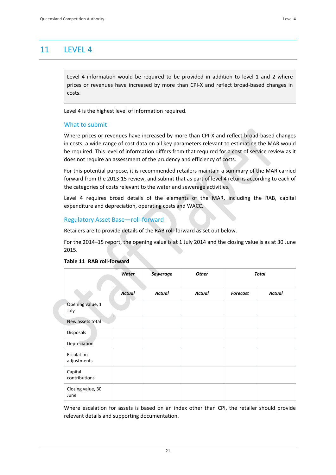# 11 LEVEL 4

Level 4 information would be required to be provided in addition to level 1 and 2 where prices or revenues have increased by more than CPI‐X and reflect broad‐based changes in costs.

Level 4 is the highest level of information required.

### What to submit

Where prices or revenues have increased by more than CPI‐X and reflect broad‐based changes in costs, a wide range of cost data on all key parameters relevant to estimating the MAR would be required. This level of information differs from that required for a cost of service review as it does not require an assessment of the prudency and efficiency of costs.

For this potential purpose, it is recommended retailers maintain a summary of the MAR carried forward from the 2013‐15 review, and submit that as part of level 4 returns according to each of the categories of costs relevant to the water and sewerage activities.

Level 4 requires broad details of the elements of the MAR, including the RAB, capital expenditure and depreciation, operating costs and WACC.

### Regulatory Asset Base—roll‐forward

Retailers are to provide details of the RAB roll‐forward as set out below.

For the 2014–15 report, the opening value is at 1 July 2014 and the closing value is as at 30 June 2015.

|                           | Water         | <b>Sewerage</b> | <b>Other</b>  |                 | Total         |
|---------------------------|---------------|-----------------|---------------|-----------------|---------------|
|                           | <b>Actual</b> | <b>Actual</b>   | <b>Actual</b> | <b>Forecast</b> | <b>Actual</b> |
| Opening value, 1<br>July  |               |                 |               |                 |               |
| New assets total          |               |                 |               |                 |               |
| Disposals                 |               |                 |               |                 |               |
| Depreciation              |               |                 |               |                 |               |
| Escalation<br>adjustments |               |                 |               |                 |               |
| Capital<br>contributions  |               |                 |               |                 |               |
| Closing value, 30<br>June |               |                 |               |                 |               |

### **Table 11 RAB roll‐forward**

Where escalation for assets is based on an index other than CPI, the retailer should provide relevant details and supporting documentation.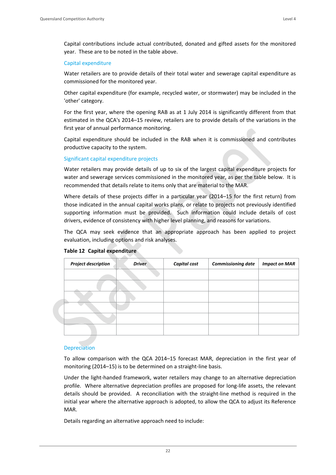Capital contributions include actual contributed, donated and gifted assets for the monitored year. These are to be noted in the table above.

### Capital expenditure

Water retailers are to provide details of their total water and sewerage capital expenditure as commissioned for the monitored year.

Other capital expenditure (for example, recycled water, or stormwater) may be included in the 'other' category.

For the first year, where the opening RAB as at 1 July 2014 is significantly different from that estimated in the QCA's 2014–15 review, retailers are to provide details of the variations in the first year of annual performance monitoring.

Capital expenditure should be included in the RAB when it is commissioned and contributes productive capacity to the system.

### Significant capital expenditure projects

Water retailers may provide details of up to six of the largest capital expenditure projects for water and sewerage services commissioned in the monitored year, as per the table below. It is recommended that details relate to items only that are material to the MAR.

Where details of these projects differ in a particular year (2014–15 for the first return) from those indicated in the annual capital works plans, or relate to projects not previously identified supporting information must be provided. Such information could include details of cost drivers, evidence of consistency with higher level planning, and reasons for variations.

The QCA may seek evidence that an appropriate approach has been applied to project evaluation, including options and risk analyses.

| <b>Project description</b> | <b>Driver</b> | <b>Capital cost</b> | <b>Commissioning date</b> | <b>Impact on MAR</b> |
|----------------------------|---------------|---------------------|---------------------------|----------------------|
|                            |               |                     |                           |                      |
|                            |               |                     |                           |                      |
|                            |               |                     |                           |                      |
|                            |               |                     |                           |                      |
|                            |               |                     |                           |                      |
|                            |               |                     |                           |                      |
|                            |               |                     |                           |                      |

### **Table 12 Capital expenditure**

### Depreciation

To allow comparison with the QCA 2014–15 forecast MAR, depreciation in the first year of monitoring (2014–15) is to be determined on a straight‐line basis.

Under the light‐handed framework, water retailers may change to an alternative depreciation profile. Where alternative depreciation profiles are proposed for long‐life assets, the relevant details should be provided. A reconciliation with the straight-line method is required in the initial year where the alternative approach is adopted, to allow the QCA to adjust its Reference MAR.

Details regarding an alternative approach need to include: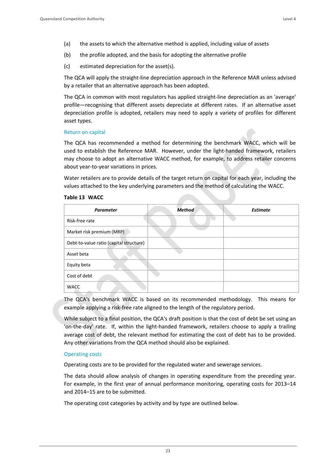- (a) the assets to which the alternative method is applied, including value of assets
- (b) the profile adopted, and the basis for adopting the alternative profile
- (c) estimated depreciation for the asset(s).

The QCA will apply the straight‐line depreciation approach in the Reference MAR unless advised by a retailer that an alternative approach has been adopted.

The QCA in common with most regulators has applied straight‐line depreciation as an 'average' profile—recognising that different assets depreciate at different rates. If an alternative asset depreciation profile is adopted, retailers may need to apply a variety of profiles for different asset types.

### Return on capital

The QCA has recommended a method for determining the benchmark WACC, which will be used to establish the Reference MAR. However, under the light-handed framework, retailers may choose to adopt an alternative WACC method, for example, to address retailer concerns about year‐to‐year variations in prices.

Water retailers are to provide details of the target return on capital for each year, including the values attached to the key underlying parameters and the method of calculating the WACC.

### **Table 13 WACC**

| <b>Parameter</b>                        | <b>Method</b> | <b>Estimate</b> |
|-----------------------------------------|---------------|-----------------|
| Risk-free rate                          |               |                 |
| Market risk premium (MRP)               |               |                 |
| Debt-to-value ratio (capital structure) |               |                 |
| Asset beta                              |               |                 |
| Equity beta                             |               |                 |
| Cost of debt                            |               |                 |
| <b>WACC</b><br>A                        |               |                 |

The QCA's benchmark WACC is based on its recommended methodology. This means for example applying a risk-free rate aligned to the length of the regulatory period.

While subject to a final position, the QCA's draft position is that the cost of debt be set using an 'on-the-day' rate. If, within the light-handed framework, retailers choose to apply a trailing average cost of debt, the relevant method for estimating the cost of debt has to be provided. Any other variations from the QCA method should also be explained.

### Operating costs

Operating costs are to be provided for the regulated water and sewerage services.

The data should allow analysis of changes in operating expenditure from the preceding year. For example, in the first year of annual performance monitoring, operating costs for 2013–14 and 2014–15 are to be submitted.

The operating cost categories by activity and by type are outlined below.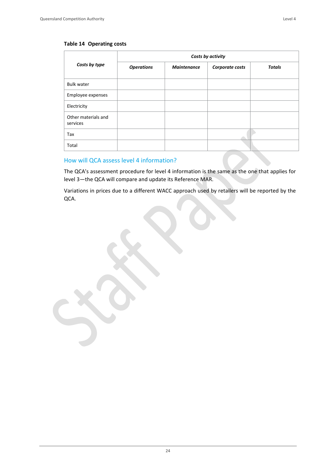### **Table 14 Operating costs**

|                                 | Costs by activity |                    |                 |               |  |  |  |  |  |
|---------------------------------|-------------------|--------------------|-----------------|---------------|--|--|--|--|--|
| Costs by type                   | <b>Operations</b> | <b>Maintenance</b> | Corporate costs | <b>Totals</b> |  |  |  |  |  |
| <b>Bulk water</b>               |                   |                    |                 |               |  |  |  |  |  |
| Employee expenses               |                   |                    |                 |               |  |  |  |  |  |
| Electricity                     |                   |                    |                 |               |  |  |  |  |  |
| Other materials and<br>services |                   |                    |                 |               |  |  |  |  |  |
| Tax                             |                   |                    |                 |               |  |  |  |  |  |
| Total                           |                   |                    |                 |               |  |  |  |  |  |

### How will QCA assess level 4 information?

The QCA's assessment procedure for level 4 information is the same as the one that applies for level 3—the QCA will compare and update its Reference MAR.

Variations in prices due to a different WACC approach used by retailers will be reported by the QCA.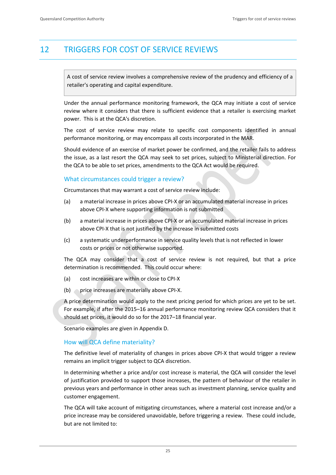# 12 TRIGGERS FOR COST OF SERVICE REVIEWS

A cost of service review involves a comprehensive review of the prudency and efficiency of a retailer's operating and capital expenditure.

Under the annual performance monitoring framework, the QCA may initiate a cost of service review where it considers that there is sufficient evidence that a retailer is exercising market power. This is at the QCA's discretion.

The cost of service review may relate to specific cost components identified in annual performance monitoring, or may encompass all costs incorporated in the MAR.

Should evidence of an exercise of market power be confirmed, and the retailer fails to address the issue, as a last resort the QCA may seek to set prices, subject to Ministerial direction. For the QCA to be able to set prices, amendments to the QCA Act would be required.

### What circumstances could trigger a review?

Circumstances that may warrant a cost of service review include:

- (a) a material increase in prices above CPI‐X or an accumulated material increase in prices above CPI‐X where supporting information is not submitted
- (b) a material increase in prices above CPI‐X or an accumulated material increase in prices above CPI‐X that is not justified by the increase in submitted costs
- (c) a systematic underperformance in service quality levels that is not reflected in lower costs or prices or not otherwise supported.

The QCA may consider that a cost of service review is not required, but that a price determination is recommended. This could occur where:

- (a) cost increases are within or close to CPI‐X
- (b) price increases are materially above CPI-X.

A price determination would apply to the next pricing period for which prices are yet to be set. For example, if after the 2015–16 annual performance monitoring review QCA considers that it should set prices, it would do so for the 2017–18 financial year.

Scenario examples are given in Appendix D.

### How will QCA define materiality?

The definitive level of materiality of changes in prices above CPI‐X that would trigger a review remains an implicit trigger subject to QCA discretion.

In determining whether a price and/or cost increase is material, the QCA will consider the level of justification provided to support those increases, the pattern of behaviour of the retailer in previous years and performance in other areas such as investment planning, service quality and customer engagement.

The QCA will take account of mitigating circumstances, where a material cost increase and/or a price increase may be considered unavoidable, before triggering a review. These could include, but are not limited to: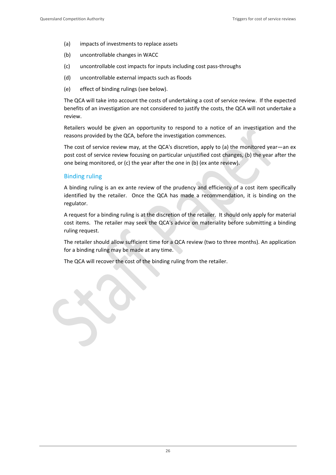- (a) impacts of investments to replace assets
- (b) uncontrollable changes in WACC
- (c) uncontrollable cost impacts for inputs including cost pass‐throughs
- (d) uncontrollable external impacts such as floods
- (e) effect of binding rulings (see below).

The QCA will take into account the costs of undertaking a cost of service review. If the expected benefits of an investigation are not considered to justify the costs, the QCA will not undertake a review.

Retailers would be given an opportunity to respond to a notice of an investigation and the reasons provided by the QCA, before the investigation commences.

The cost of service review may, at the QCA's discretion, apply to (a) the monitored year—an ex post cost of service review focusing on particular unjustified cost changes, (b) the year after the one being monitored, or (c) the year after the one in (b) (ex ante review).

### Binding ruling

A binding ruling is an ex ante review of the prudency and efficiency of a cost item specifically identified by the retailer. Once the QCA has made a recommendation, it is binding on the regulator.

A request for a binding ruling is at the discretion of the retailer. It should only apply for material cost items. The retailer may seek the QCA's advice on materiality before submitting a binding ruling request.

The retailer should allow sufficient time for a QCA review (two to three months). An application for a binding ruling may be made at any time.

The QCA will recover the cost of the binding ruling from the retailer.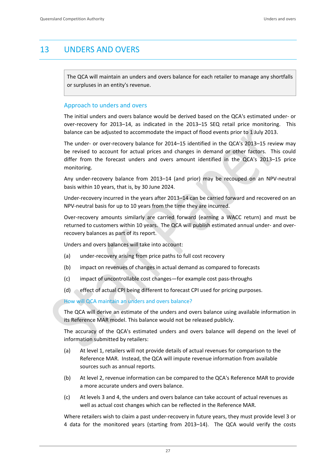# 13 UNDERS AND OVERS

The QCA will maintain an unders and overs balance for each retailer to manage any shortfalls or surpluses in an entity's revenue.

### Approach to unders and overs

The initial unders and overs balance would be derived based on the QCA's estimated under‐ or over-recovery for 2013–14, as indicated in the 2013–15 SEQ retail price monitoring. This balance can be adjusted to accommodate the impact of flood events prior to 1 July 2013.

The under- or over-recovery balance for 2014–15 identified in the QCA's 2013–15 review may be revised to account for actual prices and changes in demand or other factors. This could differ from the forecast unders and overs amount identified in the QCA's 2013–15 price monitoring.

Any under‐recovery balance from 2013–14 (and prior) may be recouped on an NPV‐neutral basis within 10 years, that is, by 30 June 2024.

Under‐recovery incurred in the years after 2013–14 can be carried forward and recovered on an NPV-neutral basis for up to 10 years from the time they are incurred.

Over-recovery amounts similarly are carried forward (earning a WACC return) and must be returned to customers within 10 years. The QCA will publish estimated annual under‐ and over‐ recovery balances as part of its report.

Unders and overs balances will take into account:

- (a) under‐recovery arising from price paths to full cost recovery
- (b) impact on revenues of changes in actual demand as compared to forecasts
- (c) impact of uncontrollable cost changes—for example cost pass‐throughs
- (d) effect of actual CPI being different to forecast CPI used for pricing purposes.

How will QCA maintain an unders and overs balance?

The QCA will derive an estimate of the unders and overs balance using available information in its Reference MAR model. This balance would not be released publicly.

The accuracy of the QCA's estimated unders and overs balance will depend on the level of information submitted by retailers:

- (a) At level 1, retailers will not provide details of actual revenues for comparison to the Reference MAR. Instead, the QCA will impute revenue information from available sources such as annual reports.
- (b) At level 2, revenue information can be compared to the QCA's Reference MAR to provide a more accurate unders and overs balance.
- (c) At levels 3 and 4, the unders and overs balance can take account of actual revenues as well as actual cost changes which can be reflected in the Reference MAR.

Where retailers wish to claim a past under‐recovery in future years, they must provide level 3 or 4 data for the monitored years (starting from 2013–14). The QCA would verify the costs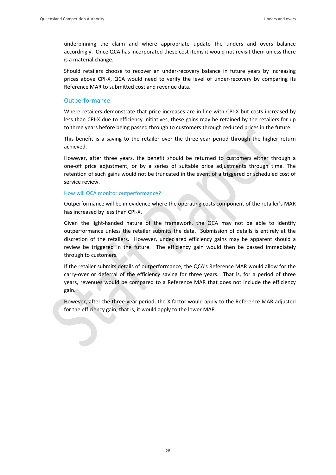underpinning the claim and where appropriate update the unders and overs balance accordingly. Once QCA has incorporated these cost items it would not revisit them unless there is a material change.

Should retailers choose to recover an under-recovery balance in future years by increasing prices above CPI-X, QCA would need to verify the level of under-recovery by comparing its Reference MAR to submitted cost and revenue data.

### **Outperformance**

Where retailers demonstrate that price increases are in line with CPI-X but costs increased by less than CPI-X due to efficiency initiatives, these gains may be retained by the retailers for up to three years before being passed through to customers through reduced prices in the future.

This benefit is a saving to the retailer over the three-year period through the higher return achieved.

However, after three years, the benefit should be returned to customers either through a one‐off price adjustment, or by a series of suitable price adjustments through time. The retention of such gains would not be truncated in the event of a triggered or scheduled cost of service review.

### How will QCA monitor outperformance?

Outperformance will be in evidence where the operating costs component of the retailer's MAR has increased by less than CPI‐X.

Given the light-handed nature of the framework, the QCA may not be able to identify outperformance unless the retailer submits the data. Submission of details is entirely at the discretion of the retailers. However, undeclared efficiency gains may be apparent should a review be triggered in the future. The efficiency gain would then be passed immediately through to customers.

If the retailer submits details of outperformance, the QCA's Reference MAR would allow for the carry-over or deferral of the efficiency saving for three years. That is, for a period of three years, revenues would be compared to a Reference MAR that does not include the efficiency gain.

However, after the three‐year period, the X factor would apply to the Reference MAR adjusted for the efficiency gain, that is, it would apply to the lower MAR.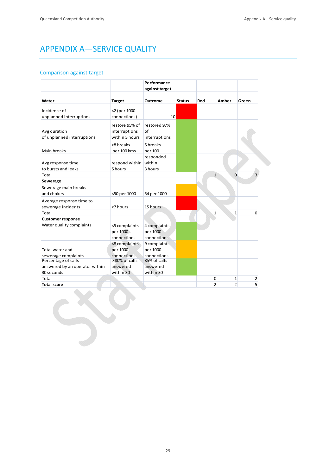# APPENDIX A—SERVICE QUALITY

CRU

### Comparison against target

|                                |                | Performance<br>against target |               |              |                |                          |
|--------------------------------|----------------|-------------------------------|---------------|--------------|----------------|--------------------------|
|                                |                |                               |               |              |                |                          |
| Water                          | <b>Target</b>  | Outcome                       | <b>Status</b> | Red          | Amber          | Green                    |
| Incidence of                   | <2 (per 1000   |                               |               |              |                |                          |
| unplanned interruptions        | connections)   | 10 <sup>1</sup>               |               |              |                |                          |
|                                | restore 95% of | restored 97%                  |               |              |                |                          |
| Avg duration                   | interruptions  | of                            |               |              |                |                          |
| of unplanned interruptions     | within 5 hours | interruptions                 |               |              |                |                          |
|                                | <8 breaks      | 5 breaks                      |               |              |                |                          |
| Main breaks                    | per 100 kms    | per 100                       |               |              |                |                          |
|                                |                | responded                     |               |              |                |                          |
| Avg response time              | respond within | within                        |               |              |                |                          |
| to bursts and leaks            | 5 hours        | 3 hours                       |               |              |                |                          |
| Total                          |                |                               |               |              | $\mathbf{1}$   | $\Omega$<br>3            |
| Sewerage                       |                |                               |               |              |                |                          |
|                                |                |                               |               |              |                |                          |
| Sewerage main breaks           |                |                               |               |              |                |                          |
| and chokes                     | <50 per 1000   | 54 per 1000                   |               |              |                |                          |
| Average response time to       |                |                               |               |              |                |                          |
| sewerage incidents             | <7 hours       | 15 hours                      |               |              |                |                          |
| Total                          |                |                               |               | $\mathbf{1}$ |                | $\Omega$<br>$\mathbf{1}$ |
| <b>Customer response</b>       |                |                               |               |              |                |                          |
| Water quality complaints       | <5 complaints  | 4 complaints                  |               |              |                |                          |
|                                | per 1000       | per 1000                      |               |              |                |                          |
|                                | connections    | connections                   |               |              |                |                          |
|                                | <8 complaints  | 9 complaints                  |               |              |                |                          |
| Total water and                | per 1000       | per 1000                      |               |              |                |                          |
| sewerage complaints            | connections    | connections                   |               |              |                |                          |
| Percentage of calls            | >80% of calls  | 85% of calls                  |               |              |                |                          |
| answered by an operator within | answered       | answered                      |               |              |                |                          |
| 30 seconds                     | within 30      | within 30                     |               |              |                |                          |
| Total                          |                |                               |               | 0            |                | 1<br>2                   |
| <b>Total score</b>             |                |                               |               |              | $\overline{2}$ | $\overline{2}$<br>5      |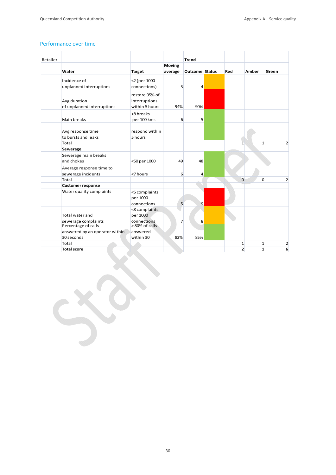### Performance over time

**The Second Second** 

| Retailer |                                |                |                  | <b>Trend</b>          |              |              |                |
|----------|--------------------------------|----------------|------------------|-----------------------|--------------|--------------|----------------|
|          |                                |                | <b>Moving</b>    |                       |              |              |                |
|          | Water                          | <b>Target</b>  | average          | <b>Outcome Status</b> | Red          | Amber        | Green          |
|          | Incidence of                   | <2 (per 1000   |                  |                       |              |              |                |
|          | unplanned interruptions        | connections)   | $\overline{3}$   | 4                     |              |              |                |
|          |                                | restore 95% of |                  |                       |              |              |                |
|          | Avg duration                   | interruptions  |                  |                       |              |              |                |
|          | of unplanned interruptions     | within 5 hours | 94%              | 90%                   |              |              |                |
|          |                                | <8 breaks      |                  |                       |              |              |                |
|          | Main breaks                    | per 100 kms    | 6                | 5                     |              |              |                |
|          |                                |                |                  |                       |              |              |                |
|          | Avg response time              | respond within |                  |                       |              |              |                |
|          | to bursts and leaks            | 5 hours        |                  |                       |              |              |                |
|          | Total                          |                |                  |                       | $\mathbf{1}$ | $\mathbf{1}$ | $\overline{2}$ |
|          | Sewerage                       |                |                  |                       |              |              |                |
|          | Sewerage main breaks           |                |                  |                       |              |              |                |
|          | and chokes                     | <50 per 1000   | 49               | 48                    |              |              |                |
|          | Average response time to       |                |                  |                       |              |              |                |
|          | sewerage incidents             | <7 hours       | $6 \overline{6}$ | 4                     |              |              |                |
|          | Total                          |                |                  |                       | $\Omega$     | $\Omega$     | $\overline{2}$ |
|          | <b>Customer response</b>       |                |                  |                       |              |              |                |
|          | Water quality complaints       | <5 complaints  |                  |                       |              |              |                |
|          |                                | per 1000       |                  |                       |              |              |                |
|          |                                | connections    | 5                | 9                     |              |              |                |
|          |                                | <8 complaints  |                  |                       |              |              |                |
|          | Total water and                | per 1000       |                  |                       |              |              |                |
|          | sewerage complaints            | connections    | $\overline{7}$   | 8                     |              |              |                |
|          | Percentage of calls            | >80% of calls  |                  |                       |              |              |                |
|          | answered by an operator within | answered       |                  |                       |              |              |                |
|          | 30 seconds                     | within 30      | 82%              | 85%                   |              |              |                |
|          | Total                          |                |                  |                       | 1            | $\mathbf{1}$ | $\overline{2}$ |
|          | <b>Total score</b>             |                |                  |                       | $\mathbf{2}$ | $\mathbf{1}$ | 6              |

30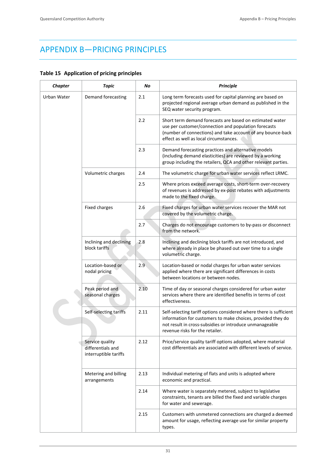# APPENDIX B—PRICING PRINCIPLES

### **Table 15 Application of pricing principles**

| <b>Chapter</b> | <b>Topic</b>                                                  | No   | <b>Principle</b>                                                                                                                                                                                                                |
|----------------|---------------------------------------------------------------|------|---------------------------------------------------------------------------------------------------------------------------------------------------------------------------------------------------------------------------------|
| Urban Water    | Demand forecasting                                            | 2.1  | Long term forecasts used for capital planning are based on<br>projected regional average urban demand as published in the<br>SEQ water security program.                                                                        |
|                |                                                               | 2.2  | Short term demand forecasts are based on estimated water<br>use per customer/connection and population forecasts<br>(number of connections) and take account of any bounce-back<br>effect as well as local circumstances.       |
|                |                                                               | 2.3  | Demand forecasting practices and alternative models<br>(including demand elasticities) are reviewed by a working<br>group including the retailers, QCA and other relevant parties.                                              |
|                | Volumetric charges                                            | 2.4  | The volumetric charge for urban water services reflect LRMC.                                                                                                                                                                    |
|                |                                                               | 2.5  | Where prices exceed average costs, short-term over-recovery<br>of revenues is addressed by ex-post rebates with adjustments<br>made to the fixed charge.                                                                        |
|                | Fixed charges                                                 | 2.6  | Fixed charges for urban water services recover the MAR not<br>covered by the volumetric charge.                                                                                                                                 |
|                |                                                               | 2.7  | Charges do not encourage customers to by-pass or disconnect<br>from the network.                                                                                                                                                |
|                | Inclining and declining<br>block tariffs                      | 2.8  | Inclining and declining block tariffs are not introduced, and<br>where already in place be phased out over time to a single<br>volumetric charge.                                                                               |
|                | Location-based or<br>nodal pricing                            | 2.9  | Location-based or nodal charges for urban water services<br>applied where there are significant differences in costs<br>between locations or between nodes.                                                                     |
|                | Peak period and<br>seasonal charges                           | 2.10 | Time of day or seasonal charges considered for urban water<br>services where there are identified benefits in terms of cost<br>effectiveness.                                                                                   |
|                | Self-selecting tariffs                                        | 2.11 | Self-selecting tariff options considered where there is sufficient<br>information for customers to make choices, provided they do<br>not result in cross-subsidies or introduce unmanageable<br>revenue risks for the retailer. |
|                | Service quality<br>differentials and<br>interruptible tariffs | 2.12 | Price/service quality tariff options adopted, where material<br>cost differentials are associated with different levels of service.                                                                                             |
|                | Metering and billing<br>arrangements                          | 2.13 | Individual metering of flats and units is adopted where<br>economic and practical.                                                                                                                                              |
|                |                                                               | 2.14 | Where water is separately metered, subject to legislative<br>constraints, tenants are billed the fixed and variable charges<br>for water and sewerage.                                                                          |
|                |                                                               | 2.15 | Customers with unmetered connections are charged a deemed<br>amount for usage, reflecting average use for similar property<br>types.                                                                                            |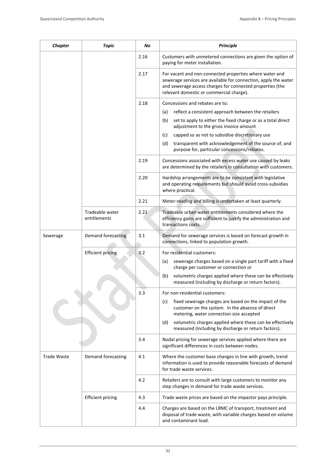| <b>Chapter</b> | <b>Topic</b>                    | No   | <b>Principle</b>                                                                                                                                                                                                                    |
|----------------|---------------------------------|------|-------------------------------------------------------------------------------------------------------------------------------------------------------------------------------------------------------------------------------------|
|                |                                 | 2.16 | Customers with unmetered connections are given the option of<br>paying for meter installation.                                                                                                                                      |
|                |                                 | 2.17 | For vacant and non-connected properties where water and<br>sewerage services are available for connection, apply the water<br>and sewerage access charges for connected properties (the<br>relevant domestic or commercial charge). |
|                |                                 | 2.18 | Concessions and rebates are to:                                                                                                                                                                                                     |
|                |                                 |      | reflect a consistent approach between the retailers<br>(a)                                                                                                                                                                          |
|                |                                 |      | (b)<br>set to apply to either the fixed charge or as a total direct<br>adjustment to the gross invoice amount                                                                                                                       |
|                |                                 |      | (c)<br>capped so as not to subsidise discretionary use                                                                                                                                                                              |
|                |                                 |      | (d)<br>transparent with acknowledgement of the source of, and<br>purpose for, particular concessions/rebates.                                                                                                                       |
|                |                                 | 2.19 | Concessions associated with excess water use caused by leaks<br>are determined by the retailers in consultation with customers.                                                                                                     |
|                |                                 | 2.20 | Hardship arrangements are to be consistent with legislative<br>and operating requirements but should avoid cross-subsidies<br>where practical.                                                                                      |
|                |                                 | 2.21 | Meter-reading and billing is undertaken at least quarterly.                                                                                                                                                                         |
|                | Tradeable water<br>entitlements | 2.22 | Tradeable urban water entitlements considered where the<br>efficiency gains are sufficient to justify the administration and<br>transactions costs.                                                                                 |
| Sewerage       | Demand forecasting              | 3.1  | Demand for sewerage services is based on forecast growth in<br>connections, linked to population growth.                                                                                                                            |
|                | <b>Efficient pricing</b>        | 3.2  | For residential customers:                                                                                                                                                                                                          |
|                |                                 |      | sewerage charges based on a single part tariff with a fixed<br>(a)<br>charge per customer or connection or                                                                                                                          |
|                |                                 |      | (b)<br>volumetric charges applied where these can be effectively<br>measured (including by discharge or return factors).                                                                                                            |
|                |                                 | 3.3  | For non-residential customers:                                                                                                                                                                                                      |
|                |                                 |      | fixed sewerage charges are based on the impact of the<br>(c)<br>customer on the system. In the absence of direct<br>metering, water connection size accepted                                                                        |
|                |                                 |      | volumetric charges applied where these can be effectively<br>(d)<br>measured (including by discharge or return factors).                                                                                                            |
|                |                                 | 3.4  | Nodal pricing for sewerage services applied where there are<br>significant differences in costs between nodes.                                                                                                                      |
| Trade Waste    | Demand forecasting              | 4.1  | Where the customer base changes in line with growth, trend<br>information is used to provide reasonable forecasts of demand<br>for trade waste services.                                                                            |
|                |                                 | 4.2  | Retailers are to consult with large customers to monitor any<br>step changes in demand for trade waste services.                                                                                                                    |
|                | <b>Efficient pricing</b>        | 4.3  | Trade waste prices are based on the impactor pays principle.                                                                                                                                                                        |
|                |                                 | 4.4  | Charges are based on the LRMC of transport, treatment and<br>disposal of trade waste, with variable charges based on volume<br>and contaminant load.                                                                                |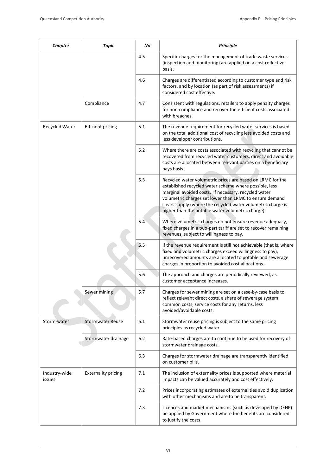| <b>Chapter</b>          | <b>Topic</b>               | No  | <b>Principle</b>                                                                                                                                                                                                                                                                                                                                             |
|-------------------------|----------------------------|-----|--------------------------------------------------------------------------------------------------------------------------------------------------------------------------------------------------------------------------------------------------------------------------------------------------------------------------------------------------------------|
|                         |                            | 4.5 | Specific charges for the management of trade waste services<br>(inspection and monitoring) are applied on a cost reflective<br>basis.                                                                                                                                                                                                                        |
|                         |                            | 4.6 | Charges are differentiated according to customer type and risk<br>factors, and by location (as part of risk assessments) if<br>considered cost effective.                                                                                                                                                                                                    |
|                         | Compliance                 | 4.7 | Consistent with regulations, retailers to apply penalty charges<br>for non-compliance and recover the efficient costs associated<br>with breaches.                                                                                                                                                                                                           |
| Recycled Water          | <b>Efficient pricing</b>   | 5.1 | The revenue requirement for recycled water services is based<br>on the total additional cost of recycling less avoided costs and<br>less developer contributions.                                                                                                                                                                                            |
|                         |                            | 5.2 | Where there are costs associated with recycling that cannot be<br>recovered from recycled water customers, direct and avoidable<br>costs are allocated between relevant parties on a beneficiary<br>pays basis.                                                                                                                                              |
|                         |                            | 5.3 | Recycled water volumetric prices are based on LRMC for the<br>established recycled water scheme where possible, less<br>marginal avoided costs. If necessary, recycled water<br>volumetric charges set lower than LRMC to ensure demand<br>clears supply (where the recycled water volumetric charge is<br>higher than the potable water volumetric charge). |
|                         |                            | 5.4 | Where volumetric charges do not ensure revenue adequacy,<br>fixed charges in a two-part tariff are set to recover remaining<br>revenues, subject to willingness to pay.                                                                                                                                                                                      |
|                         |                            | 5.5 | If the revenue requirement is still not achievable (that is, where<br>fixed and volumetric charges exceed willingness to pay),<br>unrecovered amounts are allocated to potable and sewerage<br>charges in proportion to avoided cost allocations.                                                                                                            |
|                         |                            | 5.6 | The approach and charges are periodically reviewed, as<br>customer acceptance increases.                                                                                                                                                                                                                                                                     |
|                         | Sewer mining               | 5.7 | Charges for sewer mining are set on a case-by-case basis to<br>reflect relevant direct costs, a share of sewerage system<br>common costs, service costs for any returns, less<br>avoided/avoidable costs.                                                                                                                                                    |
| Storm-water             | <b>Stormwater Reuse</b>    | 6.1 | Stormwater reuse pricing is subject to the same pricing<br>principles as recycled water.                                                                                                                                                                                                                                                                     |
|                         | Stormwater drainage        | 6.2 | Rate-based charges are to continue to be used for recovery of<br>stormwater drainage costs.                                                                                                                                                                                                                                                                  |
|                         |                            | 6.3 | Charges for stormwater drainage are transparently identified<br>on customer bills.                                                                                                                                                                                                                                                                           |
| Industry-wide<br>issues | <b>Externality pricing</b> | 7.1 | The inclusion of externality prices is supported where material<br>impacts can be valued accurately and cost effectively.                                                                                                                                                                                                                                    |
|                         |                            | 7.2 | Prices incorporating estimates of externalities avoid duplication<br>with other mechanisms and are to be transparent.                                                                                                                                                                                                                                        |
|                         |                            | 7.3 | Licences and market mechanisms (such as developed by DEHP)<br>be applied by Government where the benefits are considered<br>to justify the costs.                                                                                                                                                                                                            |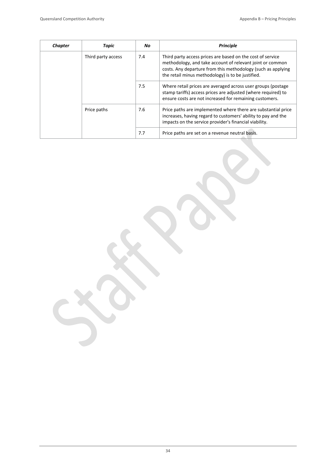| <b>Chapter</b> | Topic              | No. | <b>Principle</b>                                                                                                                                                                                                                             |
|----------------|--------------------|-----|----------------------------------------------------------------------------------------------------------------------------------------------------------------------------------------------------------------------------------------------|
|                | Third party access | 7.4 | Third party access prices are based on the cost of service<br>methodology, and take account of relevant joint or common<br>costs. Any departure from this methodology (such as applying<br>the retail minus methodology) is to be justified. |
|                |                    | 7.5 | Where retail prices are averaged across user groups (postage<br>stamp tariffs) access prices are adjusted (where required) to<br>ensure costs are not increased for remaining customers.                                                     |
|                | Price paths        | 7.6 | Price paths are implemented where there are substantial price<br>increases, having regard to customers' ability to pay and the<br>impacts on the service provider's financial viability.                                                     |
|                |                    | 7.7 | Price paths are set on a revenue neutral basis.                                                                                                                                                                                              |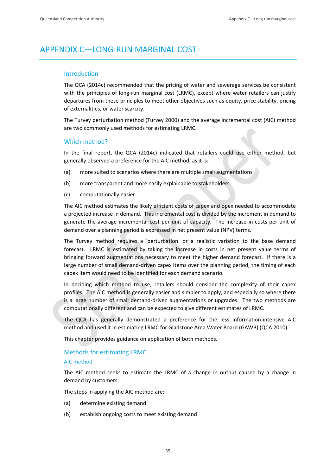# APPENDIX C—LONG‐RUN MARGINAL COST

### Introduction

The QCA (2014c) recommended that the pricing of water and sewerage services be consistent with the principles of long-run marginal cost (LRMC), except where water retailers can justify departures from these principles to meet other objectives such as equity, price stability, pricing of externalities, or water scarcity.

The Turvey perturbation method (Turvey 2000) and the average incremental cost (AIC) method are two commonly used methods for estimating LRMC.

### Which method?

In the final report, the QCA (2014c) indicated that retailers could use either method, but generally observed a preference for the AIC method, as it is:

- (a) more suited to scenarios where there are multiple small augmentations
- (b) more transparent and more easily explainable to stakeholders
- (c) computationally easier.

The AIC method estimates the likely efficient costs of capex and opex needed to accommodate a projected increase in demand. This incremental cost is divided by the increment in demand to generate the average incremental cost per unit of capacity. The increase in costs per unit of demand over a planning period is expressed in net present value (NPV) terms.

The Turvey method requires a 'perturbation' or a realistic variation to the base demand forecast. LRMC is estimated by taking the increase in costs in net present value terms of bringing forward augmentations necessary to meet the higher demand forecast. If there is a large number of small demand‐driven capex items over the planning period, the timing of each capex item would need to be identified for each demand scenario.

In deciding which method to use, retailers should consider the complexity of their capex profiles. The AIC method is generally easier and simpler to apply, and especially so where there is a large number of small demand‐driven augmentations or upgrades. The two methods are computationally different and can be expected to give different estimates of LRMC.

The QCA has generally demonstrated a preference for the less information‐intensive AIC method and used it in estimating LRMC for Gladstone Area Water Board (GAWB) (QCA 2010).

This chapter provides guidance on application of both methods.

### Methods for estimating LRMC

### AIC method

The AIC method seeks to estimate the LRMC of a change in output caused by a change in demand by customers.

The steps in applying the AIC method are:

- (a) determine existing demand
- (b) establish ongoing costs to meet existing demand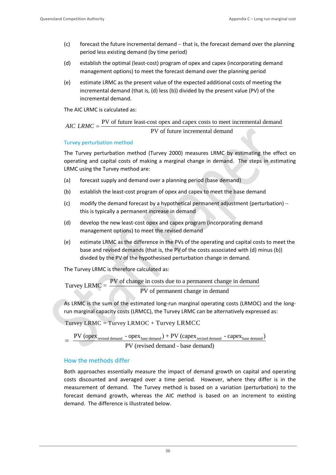- $(c)$  forecast the future incremental demand  $-$  that is, the forecast demand over the planning period less existing demand (by time period)
- (d) establish the optimal (least‐cost) program of opex and capex (incorporating demand management options) to meet the forecast demand over the planning period
- (e) estimate LRMC as the present value of the expected additional costs of meeting the incremental demand (that is, (d) less (b)) divided by the present value (PV) of the incremental demand.

The AIC LRMC is calculated as:

 $AIC$  *LRMC* =  $\frac{PV$  of future least-cost opex and capex costs to meet incremental demand PV of future incremental demand

### Turvey perturbation method

The Turvey perturbation method (Turvey 2000) measures LRMC by estimating the effect on operating and capital costs of making a marginal change in demand. The steps in estimating LRMC using the Turvey method are:

- (a) forecast supply and demand over a planning period (base demand)
- (b) establish the least‐cost program of opex and capex to meet the base demand
- (c) modify the demand forecast by a hypothetical permanent adjustment (perturbation) this is typically a permanent increase in demand
- (d) develop the new least-cost opex and capex program (incorporating demand management options) to meet the revised demand
- (e) estimate LRMC as the difference in the PVs of the operating and capital costs to meet the base and revised demands (that is, the PV of the costs associated with (d) minus (b)) divided by the PV of the hypothesised perturbation change in demand.

The Turvey LRMC is therefore calculated as:

```
Turvey LRMC = \frac{PV \space of \space change in \space costs \space due \space to \space a \space permanent \space change in \space demand}<br>PV of permanent change in demand
```
As LRMC is the sum of the estimated long‐run marginal operating costs (LRMOC) and the long‐ run marginal capacity costs (LRMCC), the Turvey LRMC can be alternatively expressed as:

Turvey LRMC = Turvey LRMOC + Turvey LRMCC

 $=$   $\frac{PV \text{ (opex }_{\text{revised demand}} - \text{opex }_{\text{base demand}}) + PV \text{ (cape x }_{\text{revised demand}} - \text{cape x }_{\text{base demand}})}{PV \text{ (revised demand} - \text{base demand})}$ 

### How the methods differ

Both approaches essentially measure the impact of demand growth on capital and operating costs discounted and averaged over a time period. However, where they differ is in the measurement of demand. The Turvey method is based on a variation (perturbation) to the forecast demand growth, whereas the AIC method is based on an increment to existing demand. The difference is illustrated below.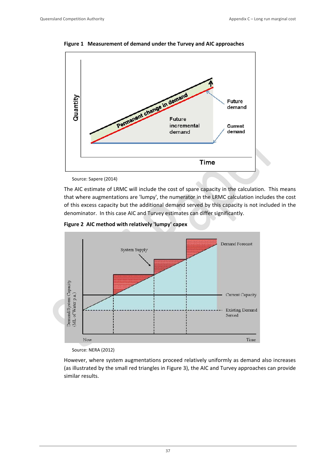

**Figure 1 Measurement of demand under the Turvey and AIC approaches**

Source: Sapere (2014)

The AIC estimate of LRMC will include the cost of spare capacity in the calculation. This means that where augmentations are 'lumpy', the numerator in the LRMC calculation includes the cost of this excess capacity but the additional demand served by this capacity is not included in the denominator. In this case AIC and Turvey estimates can differ significantly.





 Source: NERA (2012)

However, where system augmentations proceed relatively uniformly as demand also increases (as illustrated by the small red triangles in Figure 3), the AIC and Turvey approaches can provide similar results.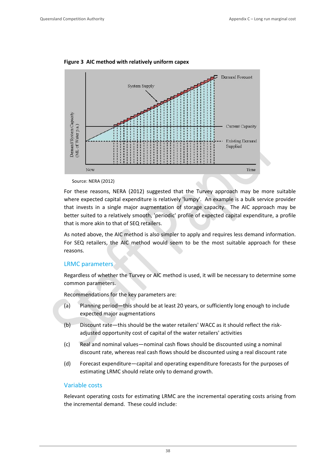

**Figure 3 AIC method with relatively uniform capex**

Source: NERA (2012)

For these reasons, NERA (2012) suggested that the Turvey approach may be more suitable where expected capital expenditure is relatively 'lumpy'. An example is a bulk service provider that invests in a single major augmentation of storage capacity. The AIC approach may be better suited to a relatively smooth, 'periodic' profile of expected capital expenditure, a profile that is more akin to that of SEQ retailers.

As noted above, the AIC method is also simpler to apply and requires less demand information. For SEQ retailers, the AIC method would seem to be the most suitable approach for these reasons.

### LRMC parameters

Regardless of whether the Turvey or AIC method is used, it will be necessary to determine some common parameters.

Recommendations for the key parameters are:

- (a) Planning period—this should be at least 20 years, or sufficiently long enough to include expected major augmentations
- (b) Discount rate—this should be the water retailers' WACC as it should reflect the risk‐ adjusted opportunity cost of capital of the water retailers' activities
- (c) Real and nominal values—nominal cash flows should be discounted using a nominal discount rate, whereas real cash flows should be discounted using a real discount rate
- (d) Forecast expenditure—capital and operating expenditure forecasts for the purposes of estimating LRMC should relate only to demand growth.

### Variable costs

Relevant operating costs for estimating LRMC are the incremental operating costs arising from the incremental demand. These could include: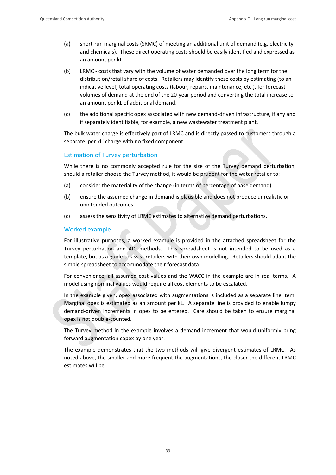- (a) short-run marginal costs (SRMC) of meeting an additional unit of demand (e.g. electricity and chemicals). These direct operating costs should be easily identified and expressed as an amount per kL.
- (b) LRMC ‐ costs that vary with the volume of water demanded over the long term for the distribution/retail share of costs. Retailers may identify these costs by estimating (to an indicative level) total operating costs (labour, repairs, maintenance, etc.), for forecast volumes of demand at the end of the 20‐year period and converting the total increase to an amount per kL of additional demand.
- (c) the additional specific opex associated with new demand‐driven infrastructure, if any and if separately identifiable, for example, a new wastewater treatment plant.

The bulk water charge is effectively part of LRMC and is directly passed to customers through a separate 'per kL' charge with no fixed component.

### Estimation of Turvey perturbation

While there is no commonly accepted rule for the size of the Turvey demand perturbation, should a retailer choose the Turvey method, it would be prudent for the water retailer to:

- (a) consider the materiality of the change (in terms of percentage of base demand)
- (b) ensure the assumed change in demand is plausible and does not produce unrealistic or unintended outcomes
- (c) assess the sensitivity of LRMC estimates to alternative demand perturbations.

### Worked example

For illustrative purposes, a worked example is provided in the attached spreadsheet for the Turvey perturbation and AIC methods. This spreadsheet is not intended to be used as a template, but as a guide to assist retailers with their own modelling. Retailers should adapt the simple spreadsheet to accommodate their forecast data.

For convenience, all assumed cost values and the WACC in the example are in real terms. A model using nominal values would require all cost elements to be escalated.

In the example given, opex associated with augmentations is included as a separate line item. Marginal opex is estimated as an amount per kL. A separate line is provided to enable lumpy demand-driven increments in opex to be entered. Care should be taken to ensure marginal opex is not double‐counted.

The Turvey method in the example involves a demand increment that would uniformly bring forward augmentation capex by one year.

The example demonstrates that the two methods will give divergent estimates of LRMC. As noted above, the smaller and more frequent the augmentations, the closer the different LRMC estimates will be.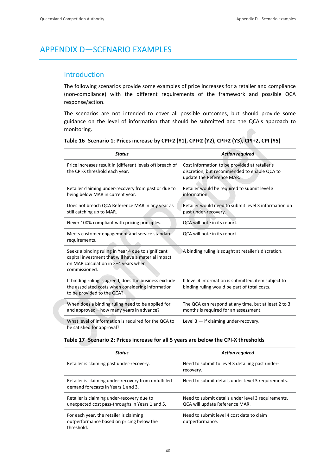# APPENDIX D—SCENARIO EXAMPLES

### Introduction

The following scenarios provide some examples of price increases for a retailer and compliance (non‐compliance) with the different requirements of the framework and possible QCA response/action.

The scenarios are not intended to cover all possible outcomes, but should provide some guidance on the level of information that should be submitted and the QCA's approach to monitoring.

| <b>Status</b>                                                                                                                                                       | <b>Action required</b>                                                                                                     |
|---------------------------------------------------------------------------------------------------------------------------------------------------------------------|----------------------------------------------------------------------------------------------------------------------------|
| Price increases result in (different levels of) breach of<br>the CPI-X threshold each year.                                                                         | Cost information to be provided at retailer's<br>discretion, but recommended to enable QCA to<br>update the Reference MAR. |
| Retailer claiming under-recovery from past or due to<br>being below MAR in current year.                                                                            | Retailer would be required to submit level 3<br>information.                                                               |
| Does not breach QCA Reference MAR in any year as<br>still catching up to MAR.                                                                                       | Retailer would need to submit level 3 information on<br>past under-recovery.                                               |
| Never 100% compliant with pricing principles.                                                                                                                       | QCA will note in its report.                                                                                               |
| Meets customer engagement and service standard<br>requirements.                                                                                                     | QCA will note in its report.                                                                                               |
| Seeks a binding ruling in Year 4 due to significant<br>capital investment that will have a material impact<br>on MAR calculation in 3-4 years when<br>commissioned. | A binding ruling is sought at retailer's discretion.                                                                       |
| If binding ruling is agreed, does the business exclude<br>the associated costs when considering information<br>to be provided to the QCA?                           | If level 4 information is submitted, item subject to<br>binding ruling would be part of total costs.                       |
| When does a binding ruling need to be applied for<br>and approved-how many years in advance?                                                                        | The QCA can respond at any time, but at least 2 to 3<br>months is required for an assessment.                              |
| What level of information is required for the QCA to<br>be satisfied for approval?                                                                                  | Level $3 -$ if claiming under-recovery.                                                                                    |

### **Table 17 Scenario 2: Prices increase for all 5 years are below the CPI‐X thresholds**

| <b>Status</b>                                                                                      | <b>Action required</b>                                                               |
|----------------------------------------------------------------------------------------------------|--------------------------------------------------------------------------------------|
| Retailer is claiming past under-recovery.                                                          | Need to submit to level 3 detailing past under-<br>recovery.                         |
| Retailer is claiming under-recovery from unfulfilled<br>demand forecasts in Years 1 and 3.         | Need to submit details under level 3 requirements.                                   |
| Retailer is claiming under-recovery due to<br>unexpected cost pass-throughs in Years 1 and 5.      | Need to submit details under level 3 requirements.<br>QCA will update Reference MAR. |
| For each year, the retailer is claiming<br>outperformance based on pricing below the<br>threshold. | Need to submit level 4 cost data to claim<br>outperformance.                         |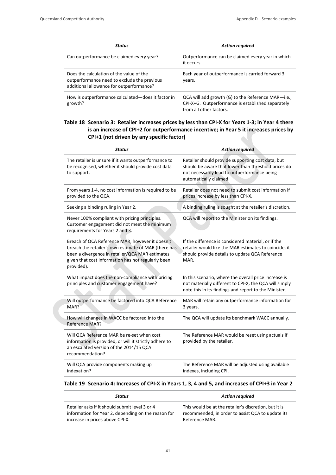| <b>Status</b>                                                                                                                       | <b>Action required</b>                                                                                                             |
|-------------------------------------------------------------------------------------------------------------------------------------|------------------------------------------------------------------------------------------------------------------------------------|
| Can outperformance be claimed every year?                                                                                           | Outperformance can be claimed every year in which<br>it occurs.                                                                    |
| Does the calculation of the value of the<br>outperformance need to exclude the previous<br>additional allowance for outperformance? | Each year of outperformance is carried forward 3<br>years.                                                                         |
| How is outperformance calculated—does it factor in<br>growth?                                                                       | QCA will add growth (G) to the Reference MAR-i.e.,<br>CPI-X+G. Outperformance is established separately<br>from all other factors. |

### Table 18 Scenario 3: Retailer increases prices by less than CPI-X for Years 1-3; in Year 4 there **is an increase of CPI+2 for outperformance incentive; in Year 5 it increases prices by CPI+1 (not driven by any specific factor)**

| <b>Status</b>                                                                                                                                                                                                                  | <b>Action required</b>                                                                                                                                                             |
|--------------------------------------------------------------------------------------------------------------------------------------------------------------------------------------------------------------------------------|------------------------------------------------------------------------------------------------------------------------------------------------------------------------------------|
| The retailer is unsure if it wants outperformance to<br>be recognised, whether it should provide cost data<br>to support.                                                                                                      | Retailer should provide supporting cost data, but<br>should be aware that lower than threshold prices do<br>not necessarily lead to outperformance being<br>automatically claimed. |
| From years 1-4, no cost information is required to be<br>provided to the QCA.                                                                                                                                                  | Retailer does not need to submit cost information if<br>prices increase by less than CPI-X.                                                                                        |
| Seeking a binding ruling in Year 2.                                                                                                                                                                                            | A binding ruling is sought at the retailer's discretion.                                                                                                                           |
| Never 100% compliant with pricing principles.<br>Customer engagement did not meet the minimum<br>requirements for Years 2 and 3.                                                                                               | QCA will report to the Minister on its findings.                                                                                                                                   |
| Breach of QCA Reference MAR, however it doesn't<br>breach the retailer's own estimate of MAR (there has<br>been a divergence in retailer/QCA MAR estimates<br>given that cost information has not regularly been<br>provided). | If the difference is considered material, or if the<br>retailer would like the MAR estimates to coincide, it<br>should provide details to update QCA Reference<br>MAR.             |
| What impact does the non-compliance with pricing<br>principles and customer engagement have?                                                                                                                                   | In this scenario, where the overall price increase is<br>not materially different to CPI-X, the QCA will simply<br>note this in its findings and report to the Minister.           |
| Will outperformance be factored into QCA Reference<br>MAR?                                                                                                                                                                     | MAR will retain any outperformance information for<br>3 years.                                                                                                                     |
| How will changes in WACC be factored into the<br>Reference MAR?                                                                                                                                                                | The QCA will update its benchmark WACC annually.                                                                                                                                   |
| Will QCA Reference MAR be re-set when cost<br>information is provided, or will it strictly adhere to<br>an escalated version of the 2014/15 QCA<br>recommendation?                                                             | The Reference MAR would be reset using actuals if<br>provided by the retailer.                                                                                                     |
| Will QCA provide components making up<br>indexation?                                                                                                                                                                           | The Reference MAR will be adjusted using available<br>indexes, including CPI.                                                                                                      |

### Table 19 Scenario 4: Increases of CPI-X in Years 1, 3, 4 and 5, and increases of CPI+3 in Year 2

| Status                                              | <b>Action required</b>                                |
|-----------------------------------------------------|-------------------------------------------------------|
| Retailer asks if it should submit level 3 or 4      | This would be at the retailer's discretion, but it is |
| information for Year 2, depending on the reason for | recommended, in order to assist QCA to update its     |
| increase in prices above CPI-X.                     | Reference MAR.                                        |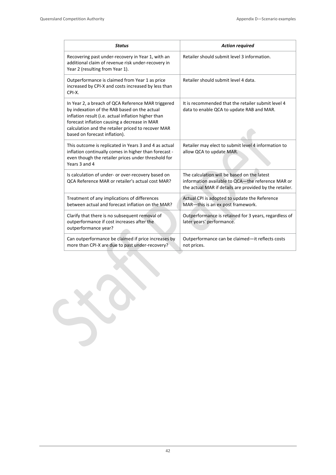| <b>Status</b>                                                                                                                                                                                                                                                                                    | <b>Action required</b>                                                                                                                                      |
|--------------------------------------------------------------------------------------------------------------------------------------------------------------------------------------------------------------------------------------------------------------------------------------------------|-------------------------------------------------------------------------------------------------------------------------------------------------------------|
| Recovering past under-recovery in Year 1, with an<br>additional claim of revenue risk under-recovery in<br>Year 2 (resulting from Year 1).                                                                                                                                                       | Retailer should submit level 3 information.                                                                                                                 |
| Outperformance is claimed from Year 1 as price<br>increased by CPI-X and costs increased by less than<br>CPI-X.                                                                                                                                                                                  | Retailer should submit level 4 data.                                                                                                                        |
| In Year 2, a breach of QCA Reference MAR triggered<br>by indexation of the RAB based on the actual<br>inflation result (i.e. actual inflation higher than<br>forecast inflation causing a decrease in MAR<br>calculation and the retailer priced to recover MAR<br>based on forecast inflation). | It is recommended that the retailer submit level 4<br>data to enable QCA to update RAB and MAR.                                                             |
| This outcome is replicated in Years 3 and 4 as actual<br>inflation continually comes in higher than forecast -<br>even though the retailer prices under threshold for<br>Years 3 and 4                                                                                                           | Retailer may elect to submit level 4 information to<br>allow QCA to update MAR.                                                                             |
| Is calculation of under- or over-recovery based on<br><b>QCA Reference MAR or retailer's actual cost MAR?</b>                                                                                                                                                                                    | The calculation will be based on the latest<br>information available to QCA-the reference MAR or<br>the actual MAR if details are provided by the retailer. |
| Treatment of any implications of differences<br>between actual and forecast inflation on the MAR?                                                                                                                                                                                                | Actual CPI is adopted to update the Reference<br>MAR-this is an ex post framework.                                                                          |
| Clarify that there is no subsequent removal of<br>outperformance if cost increases after the<br>outperformance year?                                                                                                                                                                             | Outperformance is retained for 3 years, regardless of<br>later years' performance.                                                                          |
| Can outperformance be claimed if price increases by<br>more than CPI-X are due to past under-recovery?                                                                                                                                                                                           | Outperformance can be claimed-it reflects costs<br>not prices.                                                                                              |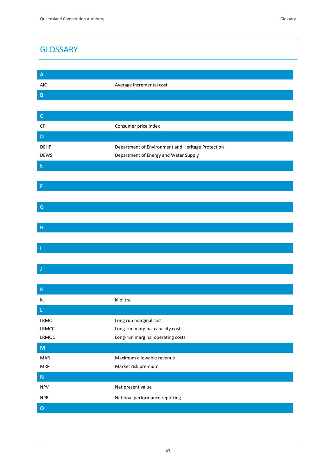# **GLOSSARY**

| $\mathbf{A}$  |                                                   |
|---------------|---------------------------------------------------|
| <b>AIC</b>    | Average incremental cost                          |
| $\mathsf B$   |                                                   |
|               |                                                   |
| $\mathsf C$   |                                                   |
| CPI           | Consumer price index                              |
| D             |                                                   |
| <b>DEHP</b>   | Department of Environment and Heritage Protection |
| <b>DEWS</b>   | Department of Energy and Water Supply             |
| E             |                                                   |
|               |                                                   |
| F             |                                                   |
|               |                                                   |
| ${\mathsf G}$ |                                                   |
|               |                                                   |
| $\mathsf{H}$  |                                                   |
|               |                                                   |
| ı             |                                                   |
|               |                                                   |
| J             |                                                   |
|               |                                                   |
| $\mathsf K$   |                                                   |
| kL            | kilolitre                                         |
|               |                                                   |

| kL             | kilolitre                         |
|----------------|-----------------------------------|
| $\mathbf L$    |                                   |
| LRMC           | Long run marginal cost            |
| <b>LRMCC</b>   | Long-run marginal capacity costs  |
| LRMOC          | Long-run marginal operating costs |
| M              |                                   |
| <b>MAR</b>     | Maximum allowable revenue         |
| <b>MRP</b>     | Market risk premium               |
| N              |                                   |
| <b>NPV</b>     | Net present value                 |
| <b>NPR</b>     | National performance reporting    |
| $\overline{O}$ |                                   |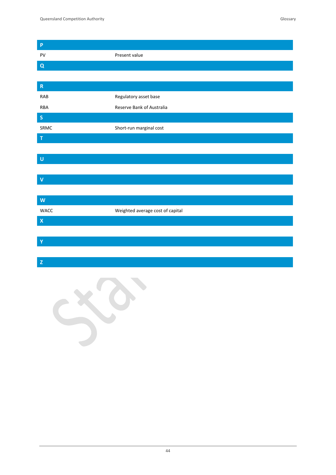| $\boldsymbol{\mathsf{P}}$ |                                  |
|---------------------------|----------------------------------|
| PV                        | Present value                    |
| $\pmb{\mathsf{Q}}$        |                                  |
|                           |                                  |
| $\mathsf R$               |                                  |
| <b>RAB</b>                | Regulatory asset base            |
| ${\sf RBA}$               | Reserve Bank of Australia        |
| $\mathsf{s}$              |                                  |
| SRMC                      | Short-run marginal cost          |
| T                         |                                  |
|                           |                                  |
| $\cup$                    |                                  |
|                           |                                  |
| $\overline{\mathsf{V}}$   |                                  |
|                           |                                  |
| W                         |                                  |
| WACC                      | Weighted average cost of capital |
| $\pmb{\mathsf{X}}$        |                                  |
|                           |                                  |
| Ÿ                         |                                  |
|                           |                                  |
| $\mathbf{Z}% _{0}$        |                                  |
|                           |                                  |